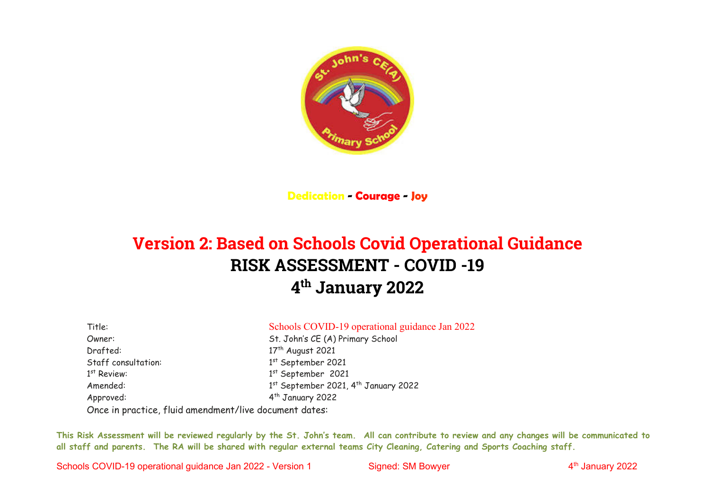

**Dedication - Courage - Joy**

# **Version 2: Based on Schools Covid Operational Guidance RISK ASSESSMENT - COVID -19 4th January 2022**

| Title:                                                 | Schools COVID-19 operational guidance Jan 2022 |
|--------------------------------------------------------|------------------------------------------------|
| Owner:                                                 | St. John's CE (A) Primary School               |
| Drafted:                                               | 17 <sup>th</sup> August 2021                   |
| Staff consultation:                                    | 1st September 2021                             |
| $1st$ Review:                                          | $1st$ September 2021                           |
| Amended:                                               | 1st September 2021, 4th January 2022           |
| Approved:                                              | 4 <sup>th</sup> January 2022                   |
| Once in practice, fluid amendment/live document dates: |                                                |

**This Risk Assessment will be reviewed regularly by the St. John's team. All can contribute to review and any changes will be communicated to all staff and parents. The RA will be shared with regular external teams City Cleaning, Catering and Sports Coaching staff.**

Schools COVID-19 operational guidance Jan 2022 - Version 1 Signed: SM Bowyer 4<sup>th</sup> January 2022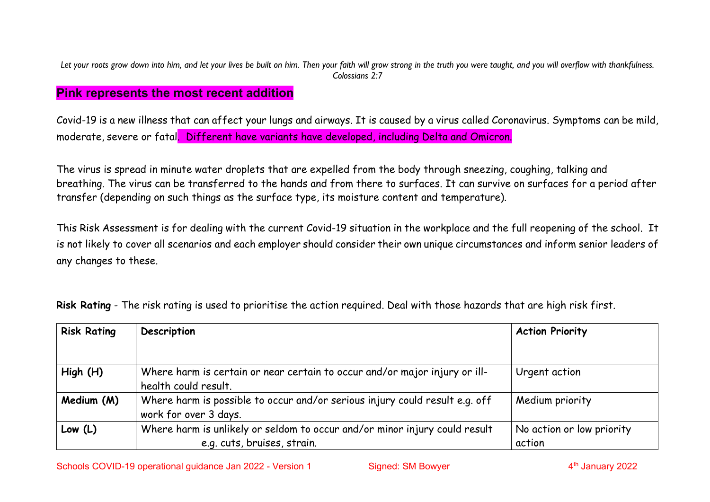Let your roots grow down into him, and let your lives be built on him. Then your faith will grow strong in the truth you were taught, and you will overflow with thankfulness. *Colossians 2:7*

### **Pink represents the most recent addition**

Covid-19 is a new illness that can affect your lungs and airways. It is caused by a virus called Coronavirus. Symptoms can be mild, moderate, severe or fatal. Different have variants have developed, including Delta and Omicron.

The virus is spread in minute water droplets that are expelled from the body through sneezing, coughing, talking and breathing. The virus can be transferred to the hands and from there to surfaces. It can survive on surfaces for a period after transfer (depending on such things as the surface type, its moisture content and temperature).

This Risk Assessment is for dealing with the current Covid-19 situation in the workplace and the full reopening of the school. It is not likely to cover all scenarios and each employer should consider their own unique circumstances and inform senior leaders of any changes to these.

| <b>Risk Rating</b> | Description                                                                                          | <b>Action Priority</b>    |
|--------------------|------------------------------------------------------------------------------------------------------|---------------------------|
|                    |                                                                                                      |                           |
| High (H)           | Where harm is certain or near certain to occur and/or major injury or ill-<br>health could result.   | Urgent action             |
| Medium (M)         | Where harm is possible to occur and/or serious injury could result e.g. off<br>work for over 3 days. | Medium priority           |
| Low $(L)$          | Where harm is unlikely or seldom to occur and/or minor injury could result                           | No action or low priority |
|                    | e.g. cuts, bruises, strain.                                                                          | action                    |

**Risk Rating** - The risk rating is used to prioritise the action required. Deal with those hazards that are high risk first.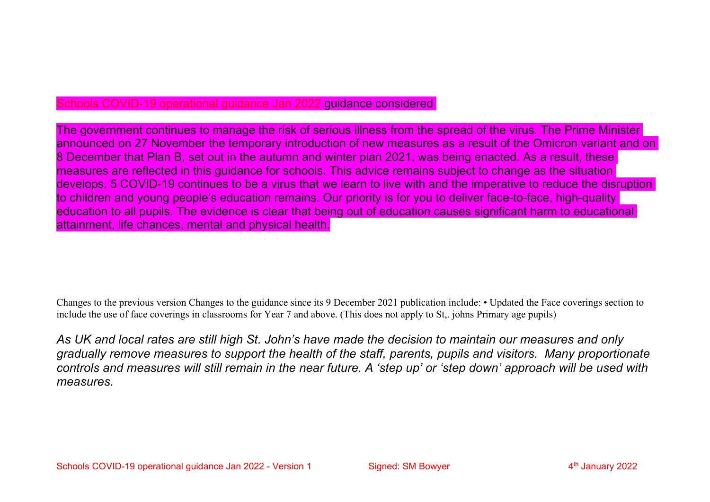### Schools COVID-19 operational guidance Jan 2022 guidance considered

The government continues to manage the risk of serious illness from the spread of the virus. The Prime Minister announced on 27 November the temporary introduction of new measures as a result of the Omicron variant and on 8 December that Plan B, set out in the autumn and winter plan 2021, was being enacted. As a result, these measures are reflected in this guidance for schools. This advice remains subject to change as the situation develops. 5 COVID-19 continues to be a virus that we learn to live with and the imperative to reduce the disruption to children and young people's education remains. Our priority is for you to deliver face-to-face, high-quality education to all pupils. The evidence is clear that being out of education causes significant harm to educational attainment, life chances, mental and physical health.

Changes to the previous version Changes to the guidance since its 9 December 2021 publication include: • Updated the Face coverings section to include the use of face coverings in classrooms for Year 7 and above. (This does not apply to St,. johns Primary age pupils)

*As UK and local rates are still high St. John's have made the decision to maintain our measures and only gradually remove measures to support the health of the staff, parents, pupils and visitors. Many proportionate controls and measures will still remain in the near future. A 'step up' or 'step down' approach will be used with measures.*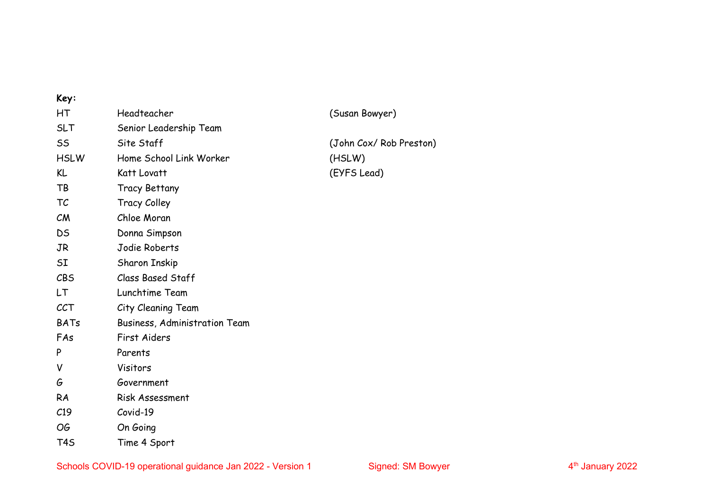| Key:            |                                      |
|-----------------|--------------------------------------|
| НT              | Headteacher                          |
| SLT             | Senior Leadership Team               |
| SS              | Site Staff                           |
| <b>HSLW</b>     | Home School Link Worker              |
| KL              | Katt Lovatt                          |
| TB              | <b>Tracy Bettany</b>                 |
| TC              | <b>Tracy Colley</b>                  |
| CM              | Chloe Moran                          |
| <b>DS</b>       | Donna Simpson                        |
| <b>JR</b>       | Jodie Roberts                        |
| SI              | <b>Sharon Inskip</b>                 |
| <b>CBS</b>      | Class Based Staff                    |
| LT              | Lunchtime Team                       |
| <b>CCT</b>      | City Cleaning Team                   |
| <b>BATs</b>     | <b>Business, Administration Team</b> |
| FAs             | First Aiders                         |
| P               | Parents                              |
| V               | Visitors                             |
| G               | Government                           |
| RA              | Risk Assessment                      |
| C <sub>19</sub> | Covid-19                             |
| <b>OG</b>       | On Going                             |
| T4S             | Time 4 Sport                         |

#### (Susan Bowyer)

(John Cox/ Rob Preston)  $(HSLW)$ (EYFS Lead)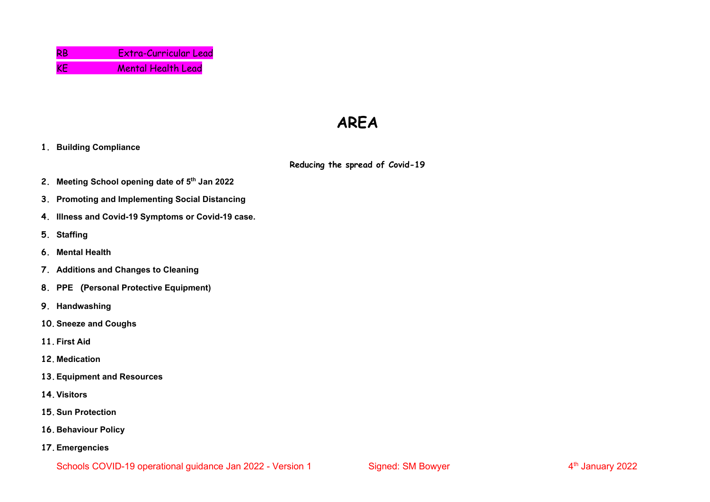# **AREA**

**1. Building Compliance**

**Reducing the spread of Covid-19**

- **2. Meeting School opening date of 5th Jan 2022**
- **3. Promoting and Implementing Social Distancing**
- **4. Illness and Covid-19 Symptoms or Covid-19 case.**
- **5. Staffing**
- **6. Mental Health**
- **7. Additions and Changes to Cleaning**
- **8. PPE (Personal Protective Equipment)**
- **9. Handwashing**
- **10.Sneeze and Coughs**
- **11.First Aid**
- **12. Medication**
- **13.Equipment and Resources**
- **14.Visitors**
- **15.Sun Protection**
- **16. Behaviour Policy**
- **17.Emergencies**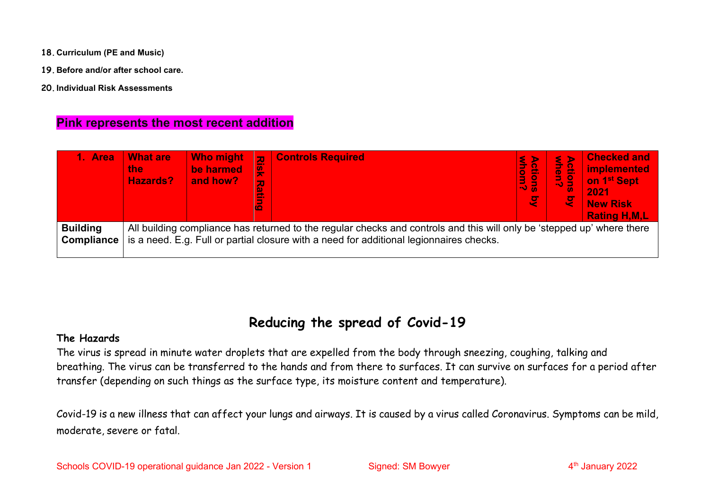- **18. Curriculum (PE and Music)**
- **19. Before and/or after school care.**
- **20. Individual Risk Assessments**

### **Pink represents the most recent addition**

| 1. Area                              | <b>What are</b><br>the<br><b>Hazards?</b> | <b>Who might</b><br>be harmed<br>and how? | $\overline{\mathbf{z}}$<br>잋<br>70 | <b>Controls Required</b>                                                                                                                                                                                          | MHom<br>kctions<br>Vhom?<br>9 | ξ.<br>5<br>S<br>$\sim$<br>Ø | <b>Checked and</b><br><b>implemented</b><br>on 1 <sup>st</sup> Sept<br>2021<br>New Risk<br><b>Rating H, M, L</b> |
|--------------------------------------|-------------------------------------------|-------------------------------------------|------------------------------------|-------------------------------------------------------------------------------------------------------------------------------------------------------------------------------------------------------------------|-------------------------------|-----------------------------|------------------------------------------------------------------------------------------------------------------|
| <b>Building</b><br><b>Compliance</b> |                                           |                                           |                                    | All building compliance has returned to the regular checks and controls and this will only be 'stepped up' where there<br>is a need. E.g. Full or partial closure with a need for additional legionnaires checks. |                               |                             |                                                                                                                  |

## **Reducing the spread of Covid-19**

#### **The Hazards**

The virus is spread in minute water droplets that are expelled from the body through sneezing, coughing, talking and breathing. The virus can be transferred to the hands and from there to surfaces. It can survive on surfaces for a period after transfer (depending on such things as the surface type, its moisture content and temperature).

Covid-19 is a new illness that can affect your lungs and airways. It is caused by a virus called Coronavirus. Symptoms can be mild, moderate, severe or fatal.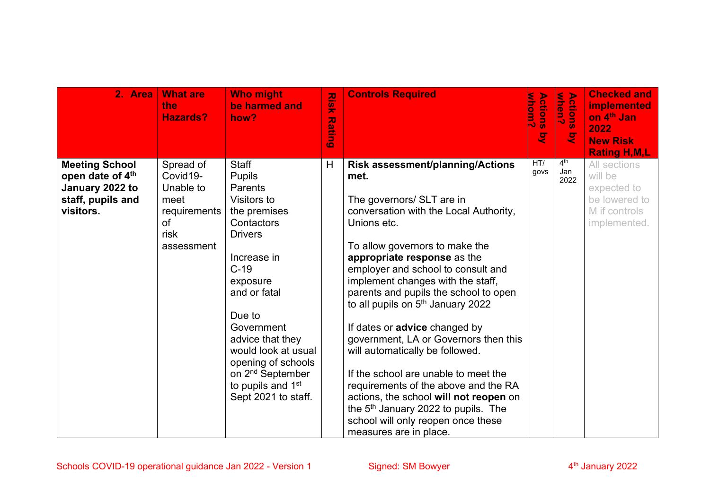|                                     | 2. Area   What are<br>the<br><b>Hazards?</b> | <b>Who might</b><br>be harmed and<br>how?                                                                                                                           | <b>Risk</b><br>カ<br><b>Satin</b><br>$\overline{c}$ | <b>Controls Required</b>                                                                                                                                                                                                                                                                                                                                      | <u>y Monr?</u><br><b>Actions</b><br>g | <b>Actions</b><br>when?<br>g | <b>Checked and</b><br><b>implemented</b><br>on 4 <sup>th</sup> Jan<br>2022<br><b>New Risk</b><br><b>Rating H, M, L</b> |
|-------------------------------------|----------------------------------------------|---------------------------------------------------------------------------------------------------------------------------------------------------------------------|----------------------------------------------------|---------------------------------------------------------------------------------------------------------------------------------------------------------------------------------------------------------------------------------------------------------------------------------------------------------------------------------------------------------------|---------------------------------------|------------------------------|------------------------------------------------------------------------------------------------------------------------|
| <b>Meeting School</b>               | Spread of                                    | <b>Staff</b>                                                                                                                                                        | H                                                  | <b>Risk assessment/planning/Actions</b>                                                                                                                                                                                                                                                                                                                       | HT/<br>govs                           | 4 <sup>th</sup><br>Jan       | All sections                                                                                                           |
| open date of 4th<br>January 2022 to | Covid19-<br>Unable to                        | <b>Pupils</b><br><b>Parents</b>                                                                                                                                     |                                                    | met.                                                                                                                                                                                                                                                                                                                                                          |                                       | 2022                         | will be<br>expected to                                                                                                 |
| staff, pupils and<br>visitors.      | meet<br>requirements<br>of<br>risk           | Visitors to<br>the premises<br>Contactors<br><b>Drivers</b>                                                                                                         |                                                    | The governors/ SLT are in<br>conversation with the Local Authority,<br>Unions etc.                                                                                                                                                                                                                                                                            |                                       |                              | be lowered to<br>M if controls<br>implemented.                                                                         |
|                                     | assessment                                   | Increase in<br>$C-19$<br>exposure<br>and or fatal<br>Due to                                                                                                         |                                                    | To allow governors to make the<br>appropriate response as the<br>employer and school to consult and<br>implement changes with the staff,<br>parents and pupils the school to open<br>to all pupils on 5 <sup>th</sup> January 2022                                                                                                                            |                                       |                              |                                                                                                                        |
|                                     |                                              | Government<br>advice that they<br>would look at usual<br>opening of schools<br>on 2 <sup>nd</sup> September<br>to pupils and 1 <sup>st</sup><br>Sept 2021 to staff. |                                                    | If dates or <b>advice</b> changed by<br>government, LA or Governors then this<br>will automatically be followed.<br>If the school are unable to meet the<br>requirements of the above and the RA<br>actions, the school will not reopen on<br>the 5 <sup>th</sup> January 2022 to pupils. The<br>school will only reopen once these<br>measures are in place. |                                       |                              |                                                                                                                        |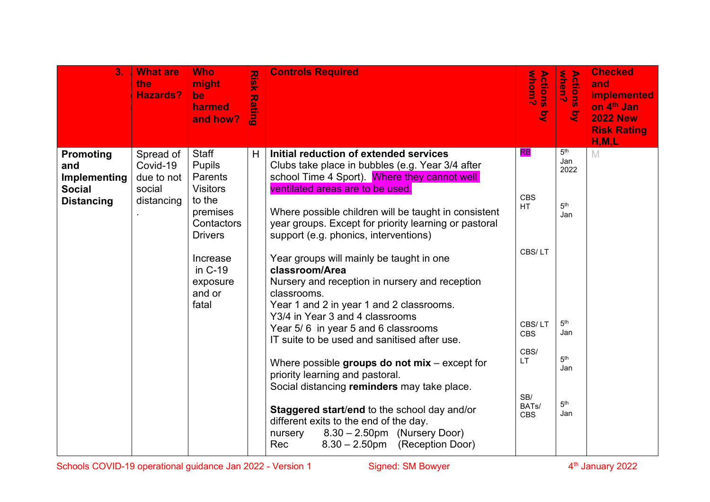| 3 <sub>1</sub>                                                                | <b>What are</b><br>the<br><b>Hazards?</b>                   | <b>Who</b><br>might<br>be<br>harmed<br>and how?                                                            | <b>NSIX</b><br><b>Rating</b> | <b>Controls Required</b>                                                                                                                                                                                                                                                                                                                             | Whom?<br><b>Actions</b><br>g                  | Actions<br>when?<br>g                                    | <b>Checked</b><br>and<br><b>implemented</b><br>on 4 <sup>th</sup> Jan<br><b>2022 New</b><br><b>Risk Rating</b><br>H, M, L |
|-------------------------------------------------------------------------------|-------------------------------------------------------------|------------------------------------------------------------------------------------------------------------|------------------------------|------------------------------------------------------------------------------------------------------------------------------------------------------------------------------------------------------------------------------------------------------------------------------------------------------------------------------------------------------|-----------------------------------------------|----------------------------------------------------------|---------------------------------------------------------------------------------------------------------------------------|
| <b>Promoting</b><br>and<br>Implementing<br><b>Social</b><br><b>Distancing</b> | Spread of<br>Covid-19<br>due to not<br>social<br>distancing | Staff<br><b>Pupils</b><br>Parents<br><b>Visitors</b><br>to the<br>premises<br>Contactors<br><b>Drivers</b> | Н                            | Initial reduction of extended services<br>Clubs take place in bubbles (e.g. Year 3/4 after<br>school Time 4 Sport). Where they cannot well<br>ventilated areas are to be used.<br>Where possible children will be taught in consistent<br>year groups. Except for priority learning or pastoral<br>support (e.g. phonics, interventions)             | <b>RB</b><br><b>CBS</b><br>HT.                | 5 <sup>th</sup><br>Jan<br>2022<br>5 <sup>th</sup><br>Jan | M                                                                                                                         |
|                                                                               |                                                             | Increase<br>in C-19<br>exposure<br>and or<br>fatal                                                         |                              | Year groups will mainly be taught in one<br>classroom/Area<br>Nursery and reception in nursery and reception<br>classrooms.<br>Year 1 and 2 in year 1 and 2 classrooms.<br>Y3/4 in Year 3 and 4 classrooms<br>Year 5/6 in year 5 and 6 classrooms<br>IT suite to be used and sanitised after use.<br>Where possible groups do not $mix -$ except for | CBS/LT<br>CBS/LT<br><b>CBS</b><br>CBS/<br>LT. | 5 <sup>th</sup><br>Jan<br>5 <sup>th</sup>                |                                                                                                                           |
|                                                                               |                                                             |                                                                                                            |                              | priority learning and pastoral.<br>Social distancing reminders may take place.<br>Staggered start/end to the school day and/or<br>different exits to the end of the day.<br>$8.30 - 2.50$ pm (Nursery Door)<br>nursery<br>8.30 - 2.50pm (Reception Door)<br>Rec                                                                                      | SB/<br>BATs/<br><b>CBS</b>                    | Jan<br>5 <sup>th</sup><br>Jan                            |                                                                                                                           |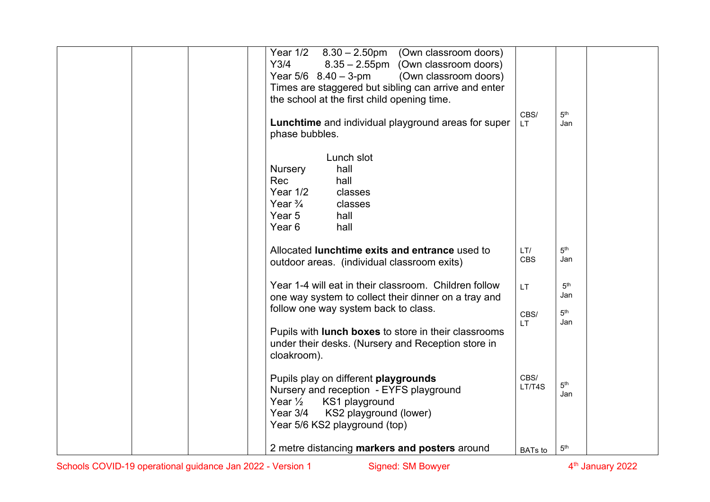| Year $1/2$<br>$8.30 - 2.50$ pm (Own classroom doors)<br>Y3/4<br>$8.35 - 2.55$ pm (Own classroom doors)<br>Year $5/6$ $8.40 - 3$ -pm<br>(Own classroom doors)<br>Times are staggered but sibling can arrive and enter<br>the school at the first child opening time.<br>Lunchtime and individual playground areas for super<br>phase bubbles. | CBS/<br>LT.                      | 5 <sup>th</sup><br>Jan                           |  |
|----------------------------------------------------------------------------------------------------------------------------------------------------------------------------------------------------------------------------------------------------------------------------------------------------------------------------------------------|----------------------------------|--------------------------------------------------|--|
| Lunch slot<br><b>Nursery</b><br>hall<br>Rec<br>hall<br>Year $1/2$<br>classes<br>Year $\frac{3}{4}$<br>classes<br>Year 5<br>hall<br>Year 6<br>hall                                                                                                                                                                                            |                                  |                                                  |  |
| Allocated lunchtime exits and entrance used to<br>outdoor areas. (individual classroom exits)                                                                                                                                                                                                                                                | LT/<br><b>CBS</b>                | 5 <sup>th</sup><br>Jan                           |  |
| Year 1-4 will eat in their classroom. Children follow<br>one way system to collect their dinner on a tray and<br>follow one way system back to class.<br>Pupils with lunch boxes to store in their classrooms<br>under their desks. (Nursery and Reception store in<br>cloakroom).                                                           | LT.<br>CBS/<br>LT.               | 5 <sup>th</sup><br>Jan<br>5 <sup>th</sup><br>Jan |  |
| Pupils play on different playgrounds<br>Nursery and reception - EYFS playground<br>Year $\frac{1}{2}$<br>KS1 playground<br>Year 3/4<br>KS2 playground (lower)<br>Year 5/6 KS2 playground (top)<br>2 metre distancing markers and posters around                                                                                              | CBS/<br>LT/T4S<br><b>BATs</b> to | 5 <sup>th</sup><br>Jan<br>5 <sup>th</sup>        |  |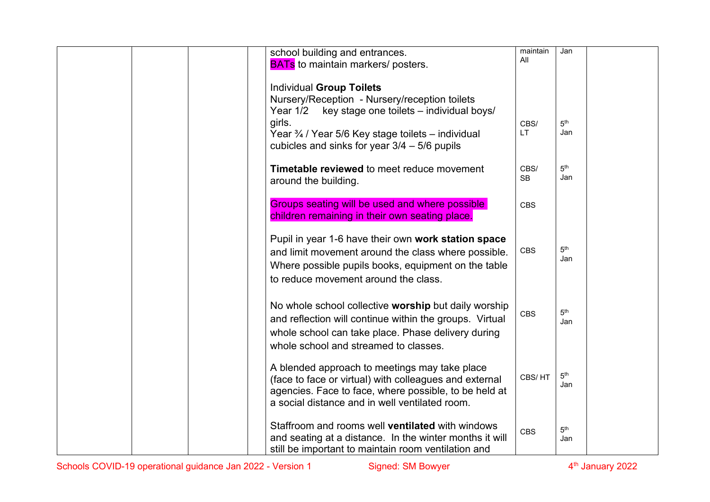| school building and entrances.<br><b>BATs</b> to maintain markers/ posters.                                                                                                                                                                                  | maintain<br>All   | Jan                    |
|--------------------------------------------------------------------------------------------------------------------------------------------------------------------------------------------------------------------------------------------------------------|-------------------|------------------------|
| <b>Individual Group Toilets</b><br>Nursery/Reception - Nursery/reception toilets<br>Year $1/2$<br>key stage one toilets - individual boys/<br>girls.<br>Year 3/4 / Year 5/6 Key stage toilets - individual<br>cubicles and sinks for year $3/4 - 5/6$ pupils | CBS/<br>LT.       | 5 <sup>th</sup><br>Jan |
| Timetable reviewed to meet reduce movement<br>around the building.                                                                                                                                                                                           | CBS/<br><b>SB</b> | 5 <sup>th</sup><br>Jan |
| Groups seating will be used and where possible<br>children remaining in their own seating place.                                                                                                                                                             | <b>CBS</b>        |                        |
| Pupil in year 1-6 have their own work station space<br>and limit movement around the class where possible.<br>Where possible pupils books, equipment on the table<br>to reduce movement around the class.                                                    | <b>CBS</b>        | 5 <sup>th</sup><br>Jan |
| No whole school collective worship but daily worship<br>and reflection will continue within the groups. Virtual<br>whole school can take place. Phase delivery during<br>whole school and streamed to classes.                                               | <b>CBS</b>        | 5 <sup>th</sup><br>Jan |
| A blended approach to meetings may take place<br>(face to face or virtual) with colleagues and external<br>agencies. Face to face, where possible, to be held at<br>a social distance and in well ventilated room.                                           | CBS/HT            | 5 <sup>th</sup><br>Jan |
| Staffroom and rooms well ventilated with windows<br>and seating at a distance. In the winter months it will<br>still be important to maintain room ventilation and                                                                                           | <b>CBS</b>        | 5 <sup>th</sup><br>Jan |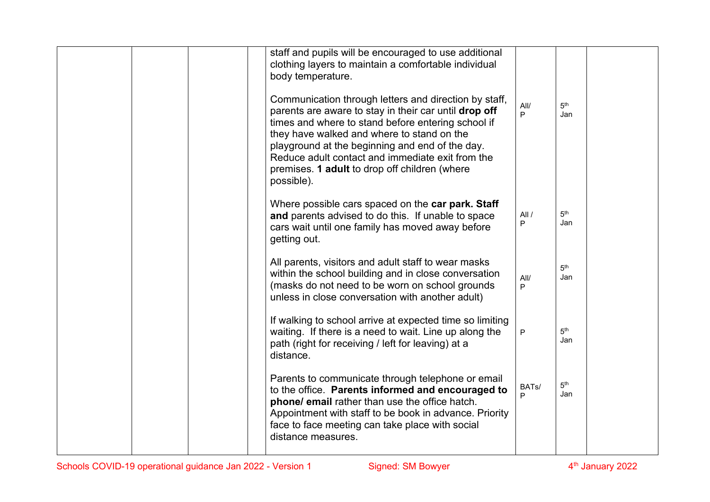|  |  | staff and pupils will be encouraged to use additional<br>clothing layers to maintain a comfortable individual<br>body temperature.<br>Communication through letters and direction by staff,<br>parents are aware to stay in their car until <b>drop off</b><br>times and where to stand before entering school if<br>they have walked and where to stand on the<br>playground at the beginning and end of the day.<br>Reduce adult contact and immediate exit from the<br>premises. 1 adult to drop off children (where<br>possible). | All/<br>P  | 5 <sup>th</sup><br>Jan |  |
|--|--|---------------------------------------------------------------------------------------------------------------------------------------------------------------------------------------------------------------------------------------------------------------------------------------------------------------------------------------------------------------------------------------------------------------------------------------------------------------------------------------------------------------------------------------|------------|------------------------|--|
|  |  | Where possible cars spaced on the car park. Staff<br>and parents advised to do this. If unable to space<br>cars wait until one family has moved away before<br>getting out.                                                                                                                                                                                                                                                                                                                                                           | All/<br>P  | 5 <sup>th</sup><br>Jan |  |
|  |  | All parents, visitors and adult staff to wear masks<br>within the school building and in close conversation<br>(masks do not need to be worn on school grounds<br>unless in close conversation with another adult)                                                                                                                                                                                                                                                                                                                    | All/<br>P  | 5 <sup>th</sup><br>Jan |  |
|  |  | If walking to school arrive at expected time so limiting<br>waiting. If there is a need to wait. Line up along the<br>path (right for receiving / left for leaving) at a<br>distance.                                                                                                                                                                                                                                                                                                                                                 | P          | 5 <sup>th</sup><br>Jan |  |
|  |  | Parents to communicate through telephone or email<br>to the office. Parents informed and encouraged to<br>phone/ email rather than use the office hatch.<br>Appointment with staff to be book in advance. Priority<br>face to face meeting can take place with social<br>distance measures.                                                                                                                                                                                                                                           | BATs/<br>P | 5 <sup>th</sup><br>Jan |  |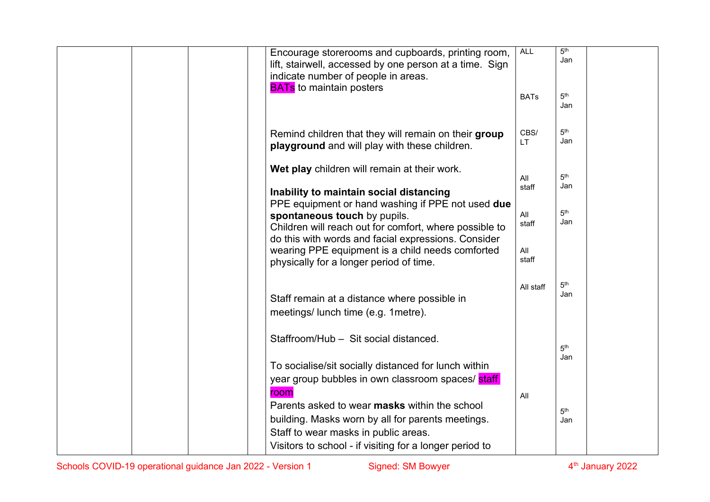|  | Encourage storerooms and cupboards, printing room,<br>lift, stairwell, accessed by one person at a time. Sign<br>indicate number of people in areas.<br><b>BATs</b> to maintain posters                                                                                                                                                                                                      | <b>ALL</b><br><b>BATs</b>                    | 5 <sup>th</sup><br>Jan<br>5 <sup>th</sup><br>Jan |
|--|----------------------------------------------------------------------------------------------------------------------------------------------------------------------------------------------------------------------------------------------------------------------------------------------------------------------------------------------------------------------------------------------|----------------------------------------------|--------------------------------------------------|
|  | Remind children that they will remain on their group<br>playground and will play with these children.                                                                                                                                                                                                                                                                                        | CBS/<br>LT.                                  | 5 <sup>th</sup><br>Jan                           |
|  | Wet play children will remain at their work.<br>Inability to maintain social distancing<br>PPE equipment or hand washing if PPE not used due<br>spontaneous touch by pupils.<br>Children will reach out for comfort, where possible to<br>do this with words and facial expressions. Consider<br>wearing PPE equipment is a child needs comforted<br>physically for a longer period of time. | All<br>staff<br>All<br>staff<br>All<br>staff | 5 <sup>th</sup><br>Jan<br>5 <sup>th</sup><br>Jan |
|  | Staff remain at a distance where possible in<br>meetings/ lunch time (e.g. 1metre).                                                                                                                                                                                                                                                                                                          | All staff                                    | 5 <sup>th</sup><br>Jan                           |
|  | Staffroom/Hub - Sit social distanced.<br>To socialise/sit socially distanced for lunch within                                                                                                                                                                                                                                                                                                |                                              | 5 <sup>th</sup><br>Jan                           |
|  | year group bubbles in own classroom spaces/ staff<br>room<br>Parents asked to wear <b>masks</b> within the school<br>building. Masks worn by all for parents meetings.<br>Staff to wear masks in public areas.<br>Visitors to school - if visiting for a longer period to                                                                                                                    | All                                          | 5 <sup>th</sup><br>Jan                           |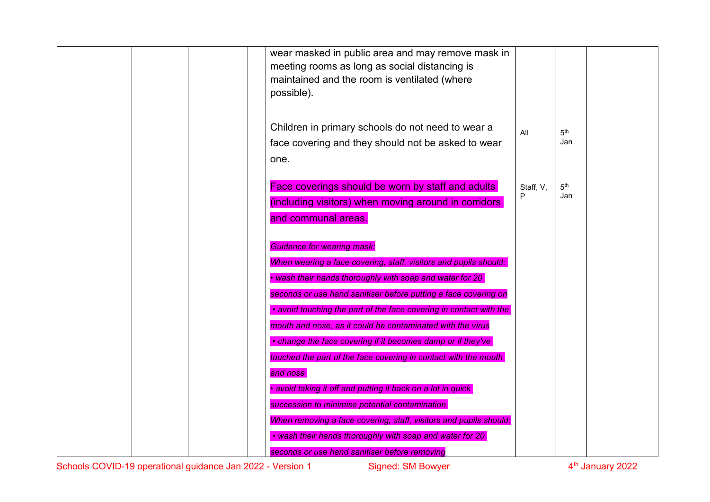|  | wear masked in public area and may remove mask in<br>meeting rooms as long as social distancing is<br>maintained and the room is ventilated (where<br>possible).                                                                                                   |                |                        |  |
|--|--------------------------------------------------------------------------------------------------------------------------------------------------------------------------------------------------------------------------------------------------------------------|----------------|------------------------|--|
|  | Children in primary schools do not need to wear a<br>face covering and they should not be asked to wear<br>one.                                                                                                                                                    | All            | 5 <sup>th</sup><br>Jan |  |
|  | Face coverings should be worn by staff and adults<br>(including visitors) when moving around in corridors<br>and communal areas.                                                                                                                                   | Staff, V,<br>P | 5 <sup>th</sup><br>Jan |  |
|  | <b>Guidance for wearing mask:</b><br>When wearing a face covering, staff, visitors and pupils should:<br>• wash their hands thoroughly with soap and water for 20                                                                                                  |                |                        |  |
|  | seconds or use hand sanitiser before putting a face covering on<br>• avoid touching the part of the face covering in contact with the<br>mouth and nose, as it could be contaminated with the virus<br>• change the face covering if it becomes damp or if they've |                |                        |  |
|  | touched the part of the face covering in contact with the mouth<br>and nose<br>· avoid taking it off and putting it back on a lot in quick<br>succession to minimise potential contamination                                                                       |                |                        |  |
|  | When removing a face covering, staff, visitors and pupils should:<br>• wash their hands thoroughly with soap and water for 20<br>seconds or use hand sanitiser before removing                                                                                     |                |                        |  |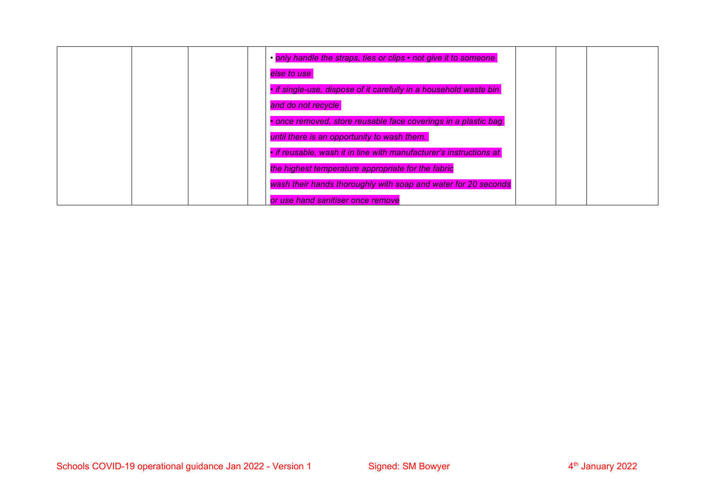|  |  | • only handle the straps, ties or clips • not give it to someone |  |  |
|--|--|------------------------------------------------------------------|--|--|
|  |  | else to use l                                                    |  |  |
|  |  | if single-use, dispose of it carefully in a household waste bin  |  |  |
|  |  | and do not recycle                                               |  |  |
|  |  | · once removed, store reusable face coverings in a plastic bag   |  |  |
|  |  | until there is an opportunity to wash them.                      |  |  |
|  |  | if reusable, wash it in line with manufacturer's instructions at |  |  |
|  |  | the highest temperature appropriate for the fabric               |  |  |
|  |  | wash their hands thoroughly with soap and water for 20 seconds   |  |  |
|  |  | or use hand sanitiser once remove                                |  |  |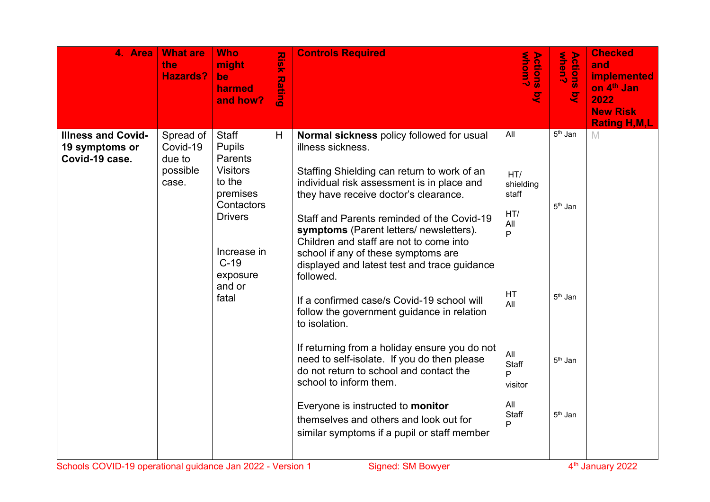| 4. Area                                                       | <b>What are</b><br>the<br><b>Hazards?</b>            | <b>Who</b><br>might<br>be<br>harmed<br>and how?                                                                                                                           | <b>Risk</b><br><b>Rating</b> | <b>Controls Required</b>                                                                                                                                                                                                                                                                                                                                                                                                                                                                                                                                                                                                                                                                                                                                                                                                                                     | whom?<br><b>Actions</b><br>$\overline{g}$                                                                             | <b>Actions</b><br>when?<br><b>S</b>                           | <b>Checked</b><br>and<br>implemented<br>on 4 <sup>th</sup> Jan<br>2022<br><b>New Risk</b><br><b>Rating H, M, L</b> |
|---------------------------------------------------------------|------------------------------------------------------|---------------------------------------------------------------------------------------------------------------------------------------------------------------------------|------------------------------|--------------------------------------------------------------------------------------------------------------------------------------------------------------------------------------------------------------------------------------------------------------------------------------------------------------------------------------------------------------------------------------------------------------------------------------------------------------------------------------------------------------------------------------------------------------------------------------------------------------------------------------------------------------------------------------------------------------------------------------------------------------------------------------------------------------------------------------------------------------|-----------------------------------------------------------------------------------------------------------------------|---------------------------------------------------------------|--------------------------------------------------------------------------------------------------------------------|
| <b>Illness and Covid-</b><br>19 symptoms or<br>Covid-19 case. | Spread of<br>Covid-19<br>due to<br>possible<br>case. | <b>Staff</b><br><b>Pupils</b><br>Parents<br><b>Visitors</b><br>to the<br>premises<br>Contactors<br><b>Drivers</b><br>Increase in<br>$C-19$<br>exposure<br>and or<br>fatal | H                            | Normal sickness policy followed for usual<br>illness sickness.<br>Staffing Shielding can return to work of an<br>individual risk assessment is in place and<br>they have receive doctor's clearance.<br>Staff and Parents reminded of the Covid-19<br>symptoms (Parent letters/ newsletters).<br>Children and staff are not to come into<br>school if any of these symptoms are<br>displayed and latest test and trace guidance<br>followed.<br>If a confirmed case/s Covid-19 school will<br>follow the government guidance in relation<br>to isolation.<br>If returning from a holiday ensure you do not<br>need to self-isolate. If you do then please<br>do not return to school and contact the<br>school to inform them.<br>Everyone is instructed to monitor<br>themselves and others and look out for<br>similar symptoms if a pupil or staff member | All<br>HT/<br>shielding<br>staff<br>HT/<br>All<br>P<br>HT<br>All<br>All<br>Staff<br>P<br>visitor<br>All<br>Staff<br>P | $5th$ Jan<br>$5th$ Jan<br>$5th$ Jan<br>$5th$ Jan<br>$5th$ Jan | M                                                                                                                  |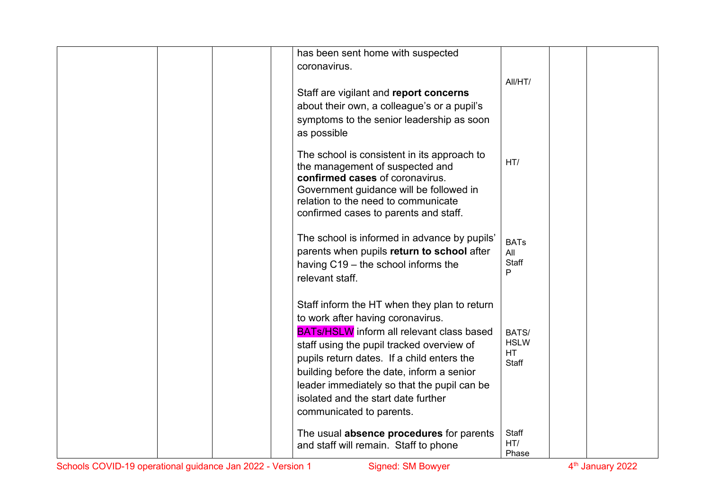| has been sent home with suspected                                                  |                      |
|------------------------------------------------------------------------------------|----------------------|
| coronavirus.                                                                       |                      |
|                                                                                    | All/HT/              |
| Staff are vigilant and report concerns                                             |                      |
| about their own, a colleague's or a pupil's                                        |                      |
| symptoms to the senior leadership as soon                                          |                      |
| as possible                                                                        |                      |
| The school is consistent in its approach to                                        |                      |
| the management of suspected and                                                    | HT/                  |
| confirmed cases of coronavirus.                                                    |                      |
| Government guidance will be followed in                                            |                      |
| relation to the need to communicate                                                |                      |
| confirmed cases to parents and staff.                                              |                      |
| The school is informed in advance by pupils'                                       | <b>BATs</b>          |
| parents when pupils return to school after                                         | All                  |
| having C19 - the school informs the                                                | Staff                |
| relevant staff.                                                                    | P                    |
|                                                                                    |                      |
| Staff inform the HT when they plan to return                                       |                      |
| to work after having coronavirus.                                                  |                      |
| <b>BATs/HSLW</b> inform all relevant class based                                   | BATS/<br><b>HSLW</b> |
| staff using the pupil tracked overview of                                          | <b>HT</b>            |
| pupils return dates. If a child enters the                                         | Staff                |
| building before the date, inform a senior                                          |                      |
| leader immediately so that the pupil can be<br>isolated and the start date further |                      |
| communicated to parents.                                                           |                      |
|                                                                                    |                      |
| The usual absence procedures for parents                                           | Staff                |
| and staff will remain. Staff to phone                                              | HT/<br>Phase         |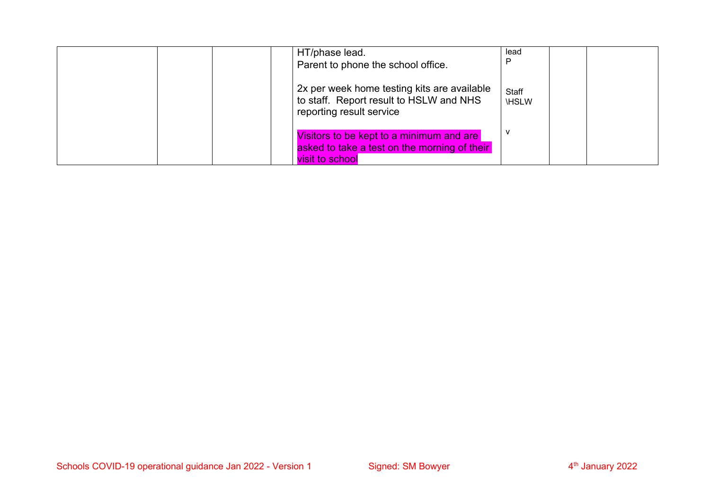| HT/phase lead.<br>Parent to phone the school office.                                                               | lead                  |
|--------------------------------------------------------------------------------------------------------------------|-----------------------|
| 2x per week home testing kits are available<br>to staff. Report result to HSLW and NHS<br>reporting result service | Staff<br><b>IHSLW</b> |
| Visitors to be kept to a minimum and are<br>asked to take a test on the morning of their<br>visit to school        |                       |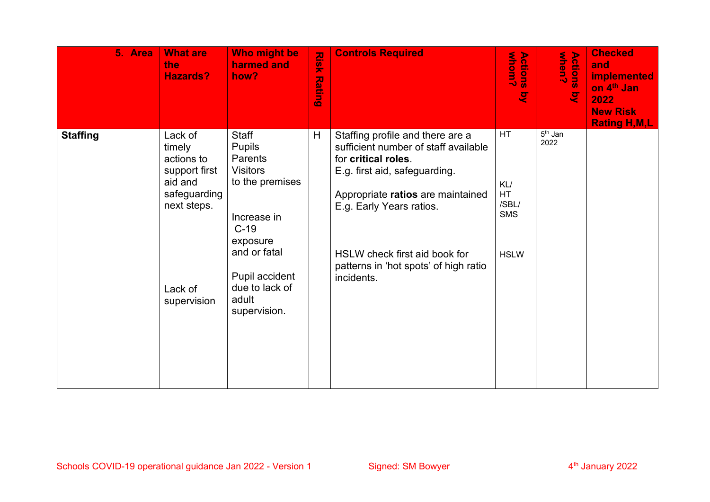| 5. Area         | <b>What are</b><br>the<br><b>Hazards?</b>                                                                            | Who might be<br>harmed and<br>how?                                                                                                                                                        | Risk<br><b>Rating</b> | <b>Controls Required</b>                                                                                                                                                                                                                                                                  | whom?<br><b>Actions</b><br>ष्ट                               | Actions<br>when?<br>g | <b>Checked</b><br>and<br><b>implemented</b><br>on 4 <sup>th</sup> Jan<br>2022<br><b>New Risk</b><br><b>Rating H, M, L</b> |
|-----------------|----------------------------------------------------------------------------------------------------------------------|-------------------------------------------------------------------------------------------------------------------------------------------------------------------------------------------|-----------------------|-------------------------------------------------------------------------------------------------------------------------------------------------------------------------------------------------------------------------------------------------------------------------------------------|--------------------------------------------------------------|-----------------------|---------------------------------------------------------------------------------------------------------------------------|
| <b>Staffing</b> | Lack of<br>timely<br>actions to<br>support first<br>aid and<br>safeguarding<br>next steps.<br>Lack of<br>supervision | Staff<br><b>Pupils</b><br>Parents<br><b>Visitors</b><br>to the premises<br>Increase in<br>$C-19$<br>exposure<br>and or fatal<br>Pupil accident<br>due to lack of<br>adult<br>supervision. | H                     | Staffing profile and there are a<br>sufficient number of staff available<br>for critical roles.<br>E.g. first aid, safeguarding.<br>Appropriate ratios are maintained<br>E.g. Early Years ratios.<br>HSLW check first aid book for<br>patterns in 'hot spots' of high ratio<br>incidents. | HT<br>KL/<br><b>HT</b><br>/SBL/<br><b>SMS</b><br><b>HSLW</b> | $5th$ Jan<br>2022     |                                                                                                                           |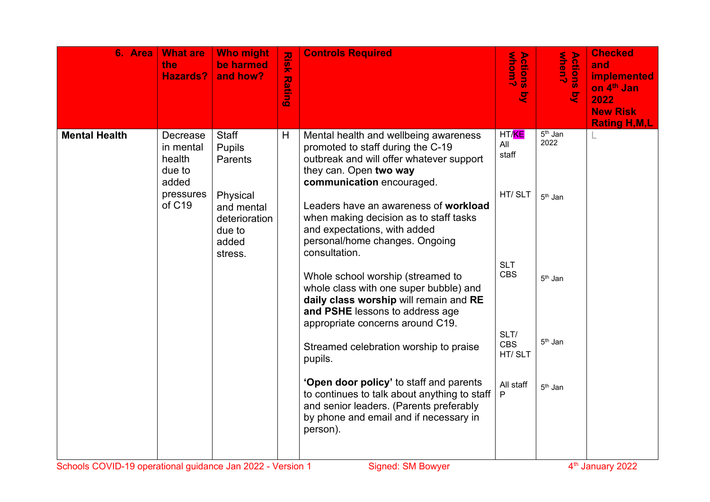| 6. Area              | <b>What are</b><br>the<br><b>Hazards?</b>          | <b>Who might</b><br>be harmed<br>and how?                             | $\overline{\lambda}$<br>$rac{1}{2}$<br><b>Rating</b> | <b>Controls Required</b>                                                                                                                                                                     | whom?<br>Actions<br>g               | <b>When?</b><br><b>Actions</b><br>g | <b>Checked</b><br>and<br><b>implemented</b><br>on 4 <sup>th</sup> Jan<br>2022<br><b>New Risk</b><br><b>Rating H, M, L</b> |
|----------------------|----------------------------------------------------|-----------------------------------------------------------------------|------------------------------------------------------|----------------------------------------------------------------------------------------------------------------------------------------------------------------------------------------------|-------------------------------------|-------------------------------------|---------------------------------------------------------------------------------------------------------------------------|
| <b>Mental Health</b> | Decrease<br>in mental<br>health<br>due to<br>added | <b>Staff</b><br><b>Pupils</b><br>Parents                              | H                                                    | Mental health and wellbeing awareness<br>promoted to staff during the C-19<br>outbreak and will offer whatever support<br>they can. Open two way<br>communication encouraged.                | HT/ <mark>KE</mark><br>All<br>staff | $5th$ Jan<br>2022                   |                                                                                                                           |
|                      | pressures<br>of C19                                | Physical<br>and mental<br>deterioration<br>due to<br>added<br>stress. |                                                      | Leaders have an awareness of workload<br>when making decision as to staff tasks<br>and expectations, with added<br>personal/home changes. Ongoing<br>consultation.                           | HT/SLT                              | $5th$ Jan                           |                                                                                                                           |
|                      |                                                    |                                                                       |                                                      | Whole school worship (streamed to<br>whole class with one super bubble) and<br>daily class worship will remain and RE<br>and PSHE lessons to address age<br>appropriate concerns around C19. | <b>SLT</b><br><b>CBS</b>            | $5th$ Jan                           |                                                                                                                           |
|                      |                                                    |                                                                       |                                                      | Streamed celebration worship to praise<br>pupils.                                                                                                                                            | SLT/<br><b>CBS</b><br>HT/SLT        | $5th$ Jan                           |                                                                                                                           |
|                      |                                                    |                                                                       |                                                      | 'Open door policy' to staff and parents<br>to continues to talk about anything to staff<br>and senior leaders. (Parents preferably<br>by phone and email and if necessary in<br>person).     | All staff<br>P                      | $5th$ Jan                           |                                                                                                                           |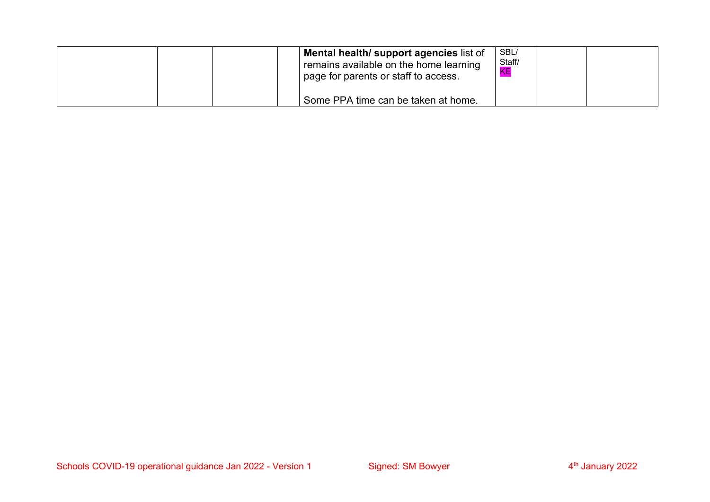|  |  | <b>Mental health/ support agencies list of</b><br>remains available on the home learning<br>page for parents or staff to access. | SBL/<br>Staff/<br><b>KE</b> |  |
|--|--|----------------------------------------------------------------------------------------------------------------------------------|-----------------------------|--|
|  |  | Some PPA time can be taken at home.                                                                                              |                             |  |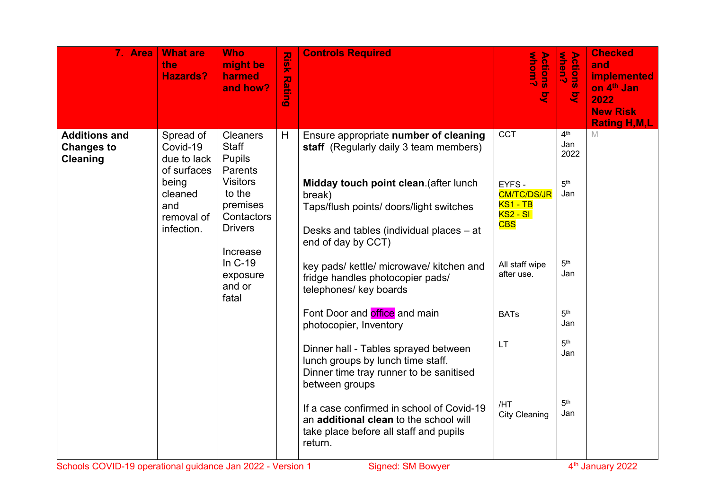| 7. Area                                                      | <b>What are</b><br>the<br><b>Hazards?</b>           | <b>Who</b><br>might be<br>harmed<br>and how?                                      | $\frac{1}{20}$<br><b>k Rating</b> | <b>Controls Required</b>                                                                                                                                      | whom?<br><b>Actions</b><br>g                                          | <b>When?</b><br><b>Actions</b><br>्र | <b>Checked</b><br>and<br><b>implemented</b><br>on 4 <sup>th</sup> Jan<br>2022<br><b>New Risk</b><br><b>Rating H, M, L</b> |
|--------------------------------------------------------------|-----------------------------------------------------|-----------------------------------------------------------------------------------|-----------------------------------|---------------------------------------------------------------------------------------------------------------------------------------------------------------|-----------------------------------------------------------------------|--------------------------------------|---------------------------------------------------------------------------------------------------------------------------|
| <b>Additions and</b><br><b>Changes to</b><br><b>Cleaning</b> | Spread of<br>Covid-19<br>due to lack<br>of surfaces | <b>Cleaners</b><br><b>Staff</b><br><b>Pupils</b><br>Parents                       | H                                 | Ensure appropriate number of cleaning<br>staff (Regularly daily 3 team members)                                                                               | <b>CCT</b>                                                            | 4 <sup>th</sup><br>Jan<br>2022       | M                                                                                                                         |
|                                                              | being<br>cleaned<br>and<br>removal of<br>infection. | <b>Visitors</b><br>to the<br>premises<br>Contactors<br><b>Drivers</b><br>Increase |                                   | Midday touch point clean. (after lunch<br>break)<br>Taps/flush points/ doors/light switches<br>Desks and tables (individual places – at<br>end of day by CCT) | EYFS-<br><b>CM/TC/DS/JR</b><br>$KS1 - TB$<br>$KS2 - SI$<br><b>CBS</b> | 5 <sup>th</sup><br>Jan               |                                                                                                                           |
|                                                              |                                                     | In C-19<br>exposure<br>and or<br>fatal                                            |                                   | key pads/ kettle/ microwave/ kitchen and<br>fridge handles photocopier pads/<br>telephones/ key boards                                                        | All staff wipe<br>after use.                                          | 5 <sup>th</sup><br>Jan               |                                                                                                                           |
|                                                              |                                                     |                                                                                   |                                   | Font Door and <b>office</b> and main<br>photocopier, Inventory                                                                                                | <b>BATs</b>                                                           | 5 <sup>th</sup><br>Jan               |                                                                                                                           |
|                                                              |                                                     |                                                                                   |                                   | Dinner hall - Tables sprayed between<br>lunch groups by lunch time staff.<br>Dinner time tray runner to be sanitised<br>between groups                        | <b>LT</b>                                                             | 5 <sup>th</sup><br>Jan               |                                                                                                                           |
|                                                              |                                                     |                                                                                   |                                   | If a case confirmed in school of Covid-19<br>an additional clean to the school will<br>take place before all staff and pupils<br>return.                      | /HT<br><b>City Cleaning</b>                                           | 5 <sup>th</sup><br>Jan               |                                                                                                                           |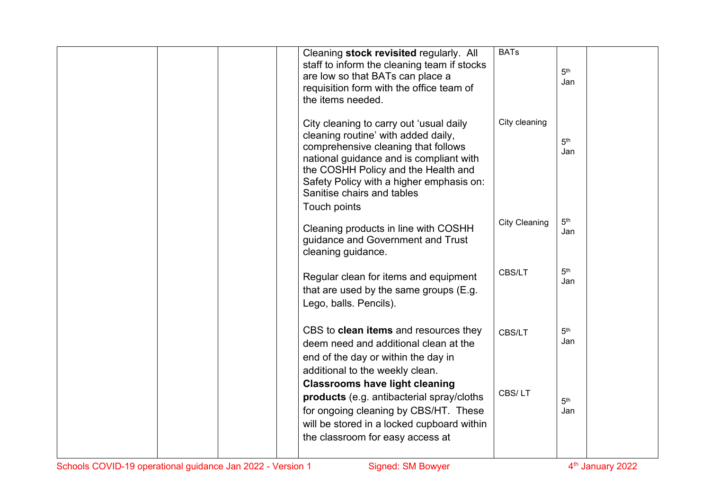|  | Cleaning stock revisited regularly. All<br>staff to inform the cleaning team if stocks<br>are low so that BATs can place a<br>requisition form with the office team of<br>the items needed.                                                                                                       | <b>BATs</b>          | 5 <sup>th</sup><br>Jan |  |
|--|---------------------------------------------------------------------------------------------------------------------------------------------------------------------------------------------------------------------------------------------------------------------------------------------------|----------------------|------------------------|--|
|  | City cleaning to carry out 'usual daily<br>cleaning routine' with added daily,<br>comprehensive cleaning that follows<br>national guidance and is compliant with<br>the COSHH Policy and the Health and<br>Safety Policy with a higher emphasis on:<br>Sanitise chairs and tables<br>Touch points | City cleaning        | 5 <sup>th</sup><br>Jan |  |
|  | Cleaning products in line with COSHH<br>guidance and Government and Trust<br>cleaning guidance.                                                                                                                                                                                                   | <b>City Cleaning</b> | 5 <sup>th</sup><br>Jan |  |
|  | Regular clean for items and equipment<br>that are used by the same groups (E.g.<br>Lego, balls. Pencils).                                                                                                                                                                                         | CBS/LT               | 5 <sup>th</sup><br>Jan |  |
|  | CBS to clean items and resources they<br>deem need and additional clean at the<br>end of the day or within the day in<br>additional to the weekly clean.                                                                                                                                          | CBS/LT               | 5 <sup>th</sup><br>Jan |  |
|  | <b>Classrooms have light cleaning</b><br>products (e.g. antibacterial spray/cloths<br>for ongoing cleaning by CBS/HT. These<br>will be stored in a locked cupboard within<br>the classroom for easy access at                                                                                     | CBS/LT               | 5 <sup>th</sup><br>Jan |  |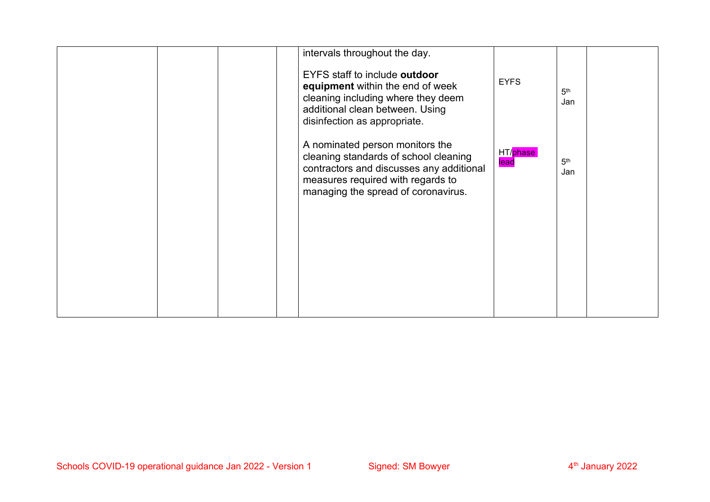|  |  | intervals throughout the day.                                                                                                                                                                    |                  |                        |  |
|--|--|--------------------------------------------------------------------------------------------------------------------------------------------------------------------------------------------------|------------------|------------------------|--|
|  |  | EYFS staff to include outdoor<br>equipment within the end of week<br>cleaning including where they deem<br>additional clean between. Using<br>disinfection as appropriate.                       | <b>EYFS</b>      | 5 <sup>th</sup><br>Jan |  |
|  |  | A nominated person monitors the<br>cleaning standards of school cleaning<br>contractors and discusses any additional<br>measures required with regards to<br>managing the spread of coronavirus. | HT/phase<br>lead | 5 <sup>th</sup><br>Jan |  |
|  |  |                                                                                                                                                                                                  |                  |                        |  |
|  |  |                                                                                                                                                                                                  |                  |                        |  |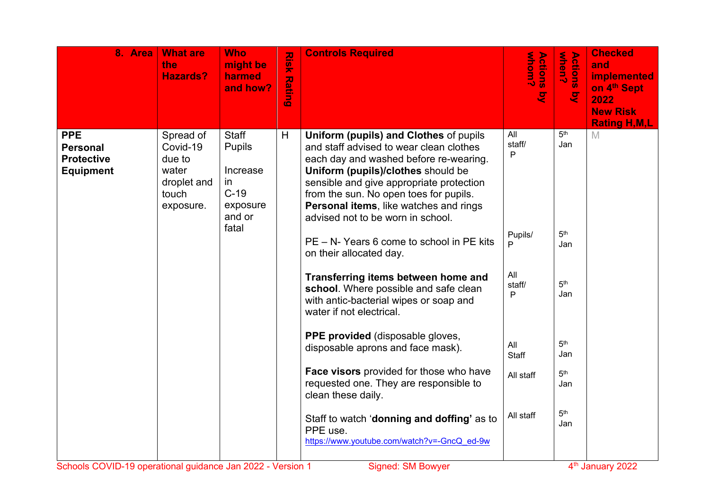| 8. Area                                                                | <b>What are</b><br>the<br><b>Hazards?</b>                                     | <b>Who</b><br>might be<br>harmed<br>and how?                                       | <b>Risk</b><br><b>Rating</b> | <b>Controls Required</b>                                                                                                                                                                                                                                                                                                                                                                                                                                                                                                                                                                                                                                                                                                                                                                                                                                                 | whom?<br><b>Actions</b><br>ष्ट                                                                     | Actions<br>when?<br>g                                                                                                                                    | <b>Checked</b><br>and<br><b>implemented</b><br>on 4 <sup>th</sup> Sept<br>2022<br><b>New Risk</b><br><b>Rating H, M, L</b> |
|------------------------------------------------------------------------|-------------------------------------------------------------------------------|------------------------------------------------------------------------------------|------------------------------|--------------------------------------------------------------------------------------------------------------------------------------------------------------------------------------------------------------------------------------------------------------------------------------------------------------------------------------------------------------------------------------------------------------------------------------------------------------------------------------------------------------------------------------------------------------------------------------------------------------------------------------------------------------------------------------------------------------------------------------------------------------------------------------------------------------------------------------------------------------------------|----------------------------------------------------------------------------------------------------|----------------------------------------------------------------------------------------------------------------------------------------------------------|----------------------------------------------------------------------------------------------------------------------------|
| <b>PPE</b><br><b>Personal</b><br><b>Protective</b><br><b>Equipment</b> | Spread of<br>Covid-19<br>due to<br>water<br>droplet and<br>touch<br>exposure. | Staff<br><b>Pupils</b><br>Increase<br>in.<br>$C-19$<br>exposure<br>and or<br>fatal | H                            | <b>Uniform (pupils) and Clothes of pupils</b><br>and staff advised to wear clean clothes<br>each day and washed before re-wearing.<br>Uniform (pupils)/clothes should be<br>sensible and give appropriate protection<br>from the sun. No open toes for pupils.<br>Personal items, like watches and rings<br>advised not to be worn in school.<br>PE - N- Years 6 come to school in PE kits<br>on their allocated day.<br>Transferring items between home and<br>school. Where possible and safe clean<br>with antic-bacterial wipes or soap and<br>water if not electrical.<br>PPE provided (disposable gloves,<br>disposable aprons and face mask).<br>Face visors provided for those who have<br>requested one. They are responsible to<br>clean these daily.<br>Staff to watch 'donning and doffing' as to<br>PPE use.<br>https://www.youtube.com/watch?v=-GncQ ed-9w | All<br>staff/<br>P<br>Pupils/<br>P<br>All<br>staff/<br>P<br>All<br>Staff<br>All staff<br>All staff | 5 <sup>th</sup><br>Jan<br>5 <sup>th</sup><br>Jan<br>5 <sup>th</sup><br>Jan<br>5 <sup>th</sup><br>Jan<br>5 <sup>th</sup><br>Jan<br>5 <sup>th</sup><br>Jan | M                                                                                                                          |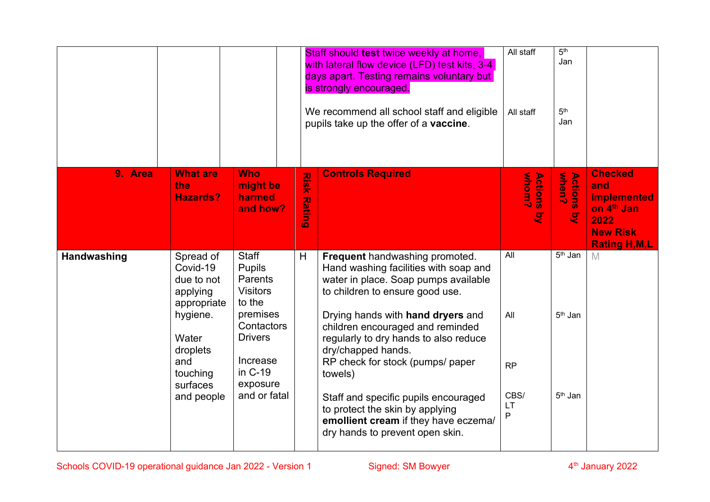|                    |                                                                                                                                              |                                                                                                                                                                      |                              | Staff should test twice weekly at home,<br>with lateral flow device (LFD) test kits, 3-4<br>days apart. Testing remains voluntary but<br>is strongly encouraged.<br>We recommend all school staff and eligible<br>pupils take up the offer of a vaccine.                                                                                                                                                                                                                                        | All staff<br>All staff                     | 5 <sup>th</sup><br>Jan<br>5 <sup>th</sup><br>Jan                  |                                                                                                                    |
|--------------------|----------------------------------------------------------------------------------------------------------------------------------------------|----------------------------------------------------------------------------------------------------------------------------------------------------------------------|------------------------------|-------------------------------------------------------------------------------------------------------------------------------------------------------------------------------------------------------------------------------------------------------------------------------------------------------------------------------------------------------------------------------------------------------------------------------------------------------------------------------------------------|--------------------------------------------|-------------------------------------------------------------------|--------------------------------------------------------------------------------------------------------------------|
| 9. Area            | <b>What are</b><br>the<br><b>Hazards?</b>                                                                                                    | <b>Who</b><br>might be<br>harmed<br>and how?                                                                                                                         | <b>NSIX</b><br><b>Rating</b> | <b>Controls Required</b>                                                                                                                                                                                                                                                                                                                                                                                                                                                                        | whom?<br><b>Actions</b><br>$\overline{g}$  | <b>When?</b><br><b>Actions</b><br>妇                               | <b>Checked</b><br>and<br>implemented<br>on 4 <sup>th</sup> Jan<br>2022<br><b>New Risk</b><br><b>Rating H, M, L</b> |
| <b>Handwashing</b> | Spread of<br>Covid-19<br>due to not<br>applying<br>appropriate<br>hygiene.<br>Water<br>droplets<br>and<br>touching<br>surfaces<br>and people | <b>Staff</b><br><b>Pupils</b><br>Parents<br><b>Visitors</b><br>to the<br>premises<br>Contactors<br><b>Drivers</b><br>Increase<br>in C-19<br>exposure<br>and or fatal | H                            | Frequent handwashing promoted.<br>Hand washing facilities with soap and<br>water in place. Soap pumps available<br>to children to ensure good use.<br>Drying hands with hand dryers and<br>children encouraged and reminded<br>regularly to dry hands to also reduce<br>dry/chapped hands.<br>RP check for stock (pumps/ paper<br>towels)<br>Staff and specific pupils encouraged<br>to protect the skin by applying<br>emollient cream if they have eczema/<br>dry hands to prevent open skin. | All<br>All<br><b>RP</b><br>CBS/<br>LT<br>P | 5 <sup>th</sup> Jan<br>5 <sup>th</sup> Jan<br>5 <sup>th</sup> Jan | M                                                                                                                  |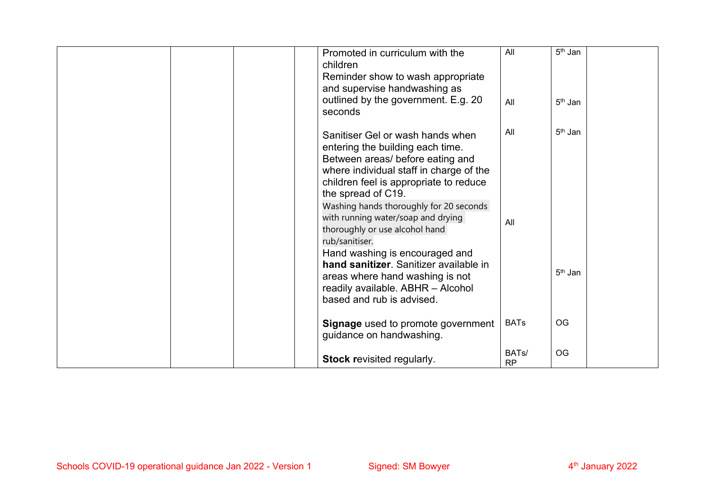| Promoted in curriculum with the<br>children<br>Reminder show to wash appropriate<br>and supervise handwashing as<br>outlined by the government. E.g. 20<br>seconds                                                                                                                                                                                                                                                                                                                                                                        | All<br>All                      | 5 <sup>th</sup> Jan<br>5 <sup>th</sup> Jan |
|-------------------------------------------------------------------------------------------------------------------------------------------------------------------------------------------------------------------------------------------------------------------------------------------------------------------------------------------------------------------------------------------------------------------------------------------------------------------------------------------------------------------------------------------|---------------------------------|--------------------------------------------|
| Sanitiser Gel or wash hands when<br>entering the building each time.<br>Between areas/ before eating and<br>where individual staff in charge of the<br>children feel is appropriate to reduce<br>the spread of C19.<br>Washing hands thoroughly for 20 seconds<br>with running water/soap and drying<br>thoroughly or use alcohol hand<br>rub/sanitiser.<br>Hand washing is encouraged and<br>hand sanitizer. Sanitizer available in<br>areas where hand washing is not<br>readily available. ABHR - Alcohol<br>based and rub is advised. | All<br>All                      | 5 <sup>th</sup> Jan<br>$5th$ Jan           |
| <b>Signage</b> used to promote government<br>guidance on handwashing.                                                                                                                                                                                                                                                                                                                                                                                                                                                                     | <b>BATs</b>                     | <b>OG</b>                                  |
| <b>Stock revisited regularly.</b>                                                                                                                                                                                                                                                                                                                                                                                                                                                                                                         | BAT <sub>s</sub> /<br><b>RP</b> | <b>OG</b>                                  |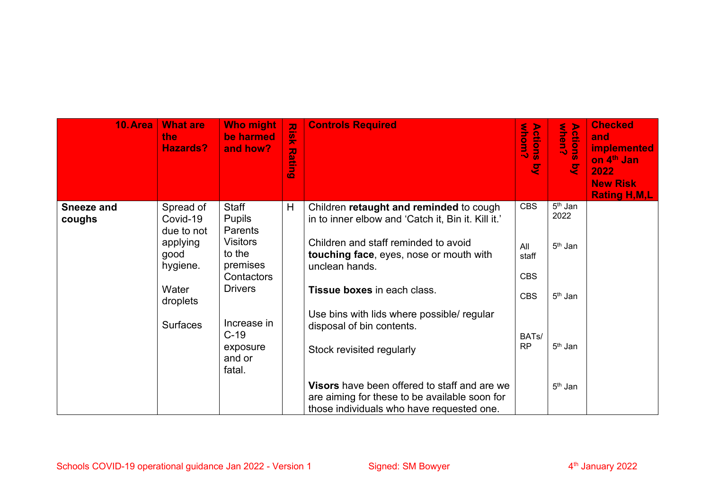| 10. Area                    | <b>What are</b><br><b>the</b><br><b>Hazards?</b> | <b>Who might</b><br>be harmed<br>and how?             | $\overline{\mathbf{z}}$<br>$rac{1}{2}$<br>刀<br>$\frac{1}{2}$<br>Б<br>$\overline{10}$ | <b>Controls Required</b>                                                                                                                   | <b>Actions</b><br>g             | Acti<br>whe<br>$\frac{5}{2}$ $\frac{9}{2}$<br>$\boldsymbol{\omega}$<br>$\overline{S}$ | <b>Checked</b><br>and<br><b>implemented</b><br>on 4 <sup>th</sup> Jan<br>2022<br><b>New Risk</b><br><b>Rating H,M,L</b> |
|-----------------------------|--------------------------------------------------|-------------------------------------------------------|--------------------------------------------------------------------------------------|--------------------------------------------------------------------------------------------------------------------------------------------|---------------------------------|---------------------------------------------------------------------------------------|-------------------------------------------------------------------------------------------------------------------------|
| <b>Sneeze and</b><br>coughs | Spread of<br>Covid-19<br>due to not              | <b>Staff</b><br><b>Pupils</b><br>Parents              | H                                                                                    | Children retaught and reminded to cough<br>in to inner elbow and 'Catch it, Bin it. Kill it.'                                              | <b>CBS</b>                      | $5th$ Jan<br>2022                                                                     |                                                                                                                         |
|                             | applying<br>good<br>hygiene.                     | <b>Visitors</b><br>to the<br>premises<br>Contactors   |                                                                                      | Children and staff reminded to avoid<br>touching face, eyes, nose or mouth with<br>unclean hands.                                          | All<br>staff<br><b>CBS</b>      | $5th$ Jan                                                                             |                                                                                                                         |
|                             | Water<br>droplets                                | <b>Drivers</b>                                        |                                                                                      | Tissue boxes in each class.                                                                                                                | <b>CBS</b>                      | $5th$ Jan                                                                             |                                                                                                                         |
|                             | <b>Surfaces</b>                                  | Increase in<br>$C-19$<br>exposure<br>and or<br>fatal. |                                                                                      | Use bins with lids where possible/ regular<br>disposal of bin contents.<br>Stock revisited regularly                                       | BAT <sub>s</sub> /<br><b>RP</b> | $5th$ Jan                                                                             |                                                                                                                         |
|                             |                                                  |                                                       |                                                                                      | Visors have been offered to staff and are we<br>are aiming for these to be available soon for<br>those individuals who have requested one. |                                 | $5th$ Jan                                                                             |                                                                                                                         |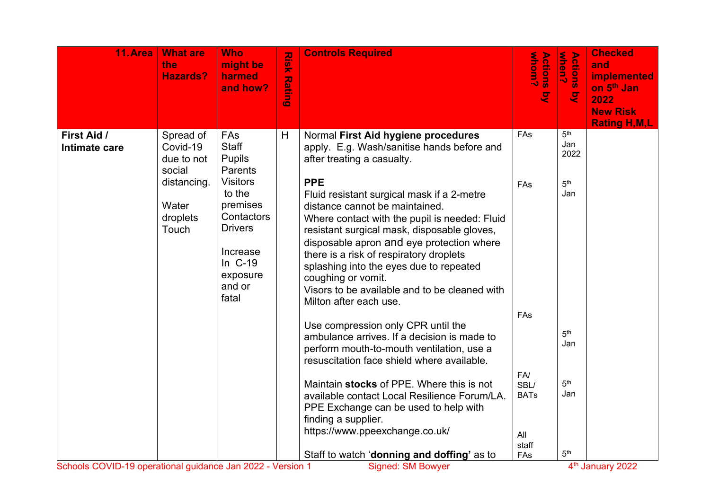| 11. Area                                                   | <b>What are</b><br>the<br><b>Hazards?</b>           | <b>Who</b><br>might be<br>harmed<br>and how?                                                                                           | <b>NSK</b><br><b>Rating</b> | <b>Controls Required</b>                                                                                                                                                                                                                                                                                                                                                                                                       | <b>Actions</b><br>whom?<br>$\overline{g}$ | when?<br><b>Actions</b><br>g   | <b>Checked</b><br>and<br><b>implemented</b><br>on 5 <sup>th</sup> Jan<br>2022<br><b>New Risk</b><br><b>Rating H, M, L</b> |
|------------------------------------------------------------|-----------------------------------------------------|----------------------------------------------------------------------------------------------------------------------------------------|-----------------------------|--------------------------------------------------------------------------------------------------------------------------------------------------------------------------------------------------------------------------------------------------------------------------------------------------------------------------------------------------------------------------------------------------------------------------------|-------------------------------------------|--------------------------------|---------------------------------------------------------------------------------------------------------------------------|
| <b>First Aid /</b><br>Intimate care                        | Spread of<br>Covid-19<br>due to not                 | FAs<br><b>Staff</b><br><b>Pupils</b>                                                                                                   | H                           | Normal First Aid hygiene procedures<br>apply. E.g. Wash/sanitise hands before and<br>after treating a casualty.                                                                                                                                                                                                                                                                                                                | FAs                                       | 5 <sup>th</sup><br>Jan<br>2022 |                                                                                                                           |
|                                                            | social<br>distancing.<br>Water<br>droplets<br>Touch | Parents<br><b>Visitors</b><br>to the<br>premises<br>Contactors<br><b>Drivers</b><br>Increase<br>In C-19<br>exposure<br>and or<br>fatal |                             | <b>PPE</b><br>Fluid resistant surgical mask if a 2-metre<br>distance cannot be maintained.<br>Where contact with the pupil is needed: Fluid<br>resistant surgical mask, disposable gloves,<br>disposable apron and eye protection where<br>there is a risk of respiratory droplets<br>splashing into the eyes due to repeated<br>coughing or vomit.<br>Visors to be available and to be cleaned with<br>Milton after each use. | FAs                                       | 5 <sup>th</sup><br>Jan         |                                                                                                                           |
|                                                            |                                                     |                                                                                                                                        |                             | Use compression only CPR until the<br>ambulance arrives. If a decision is made to<br>perform mouth-to-mouth ventilation, use a<br>resuscitation face shield where available.                                                                                                                                                                                                                                                   | FAs                                       | 5 <sup>th</sup><br>Jan         |                                                                                                                           |
|                                                            |                                                     |                                                                                                                                        |                             | Maintain stocks of PPE. Where this is not<br>available contact Local Resilience Forum/LA.<br>PPE Exchange can be used to help with<br>finding a supplier.<br>https://www.ppeexchange.co.uk/                                                                                                                                                                                                                                    | FA/<br>SBL/<br><b>BATs</b>                | 5 <sup>th</sup><br>Jan         |                                                                                                                           |
| Schools COVID-19 operational guidance Jan 2022 - Version 1 |                                                     |                                                                                                                                        |                             | Staff to watch 'donning and doffing' as to<br><b>Signed: SM Bowyer</b>                                                                                                                                                                                                                                                                                                                                                         | All<br>staff<br>FAs                       | 5 <sup>th</sup>                | 4 <sup>th</sup> January 2022                                                                                              |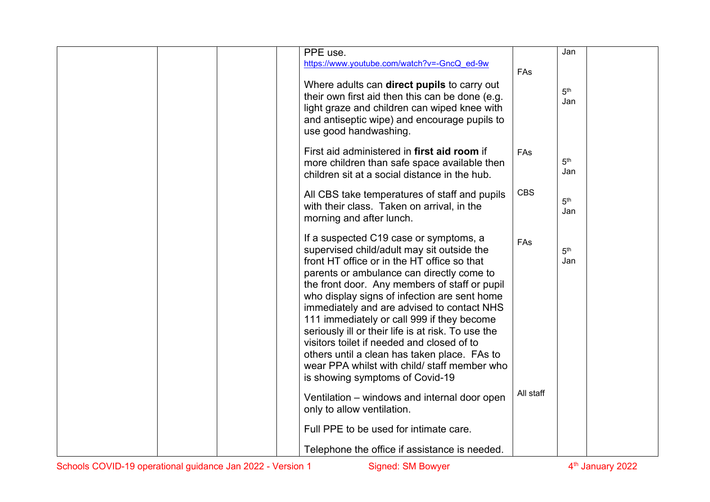|  | PPE use.                                                                                                                                                                                                                                                                                                                                                                                                                                                                                                                                                                                                             |            | Jan                    |  |
|--|----------------------------------------------------------------------------------------------------------------------------------------------------------------------------------------------------------------------------------------------------------------------------------------------------------------------------------------------------------------------------------------------------------------------------------------------------------------------------------------------------------------------------------------------------------------------------------------------------------------------|------------|------------------------|--|
|  | https://www.youtube.com/watch?v=-GncQ ed-9w                                                                                                                                                                                                                                                                                                                                                                                                                                                                                                                                                                          | FAs        |                        |  |
|  | Where adults can direct pupils to carry out<br>their own first aid then this can be done (e.g.<br>light graze and children can wiped knee with<br>and antiseptic wipe) and encourage pupils to<br>use good handwashing.                                                                                                                                                                                                                                                                                                                                                                                              |            | 5 <sup>th</sup><br>Jan |  |
|  | First aid administered in first aid room if<br>more children than safe space available then<br>children sit at a social distance in the hub.                                                                                                                                                                                                                                                                                                                                                                                                                                                                         | FAs        | 5 <sup>th</sup><br>Jan |  |
|  | All CBS take temperatures of staff and pupils<br>with their class. Taken on arrival, in the<br>morning and after lunch.                                                                                                                                                                                                                                                                                                                                                                                                                                                                                              | <b>CBS</b> | 5 <sup>th</sup><br>Jan |  |
|  | If a suspected C19 case or symptoms, a<br>supervised child/adult may sit outside the<br>front HT office or in the HT office so that<br>parents or ambulance can directly come to<br>the front door. Any members of staff or pupil<br>who display signs of infection are sent home<br>immediately and are advised to contact NHS<br>111 immediately or call 999 if they become<br>seriously ill or their life is at risk. To use the<br>visitors toilet if needed and closed of to<br>others until a clean has taken place. FAs to<br>wear PPA whilst with child/ staff member who<br>is showing symptoms of Covid-19 | FAs        | 5 <sup>th</sup><br>Jan |  |
|  | Ventilation - windows and internal door open<br>only to allow ventilation.                                                                                                                                                                                                                                                                                                                                                                                                                                                                                                                                           | All staff  |                        |  |
|  | Full PPE to be used for intimate care.                                                                                                                                                                                                                                                                                                                                                                                                                                                                                                                                                                               |            |                        |  |
|  | Telephone the office if assistance is needed.                                                                                                                                                                                                                                                                                                                                                                                                                                                                                                                                                                        |            |                        |  |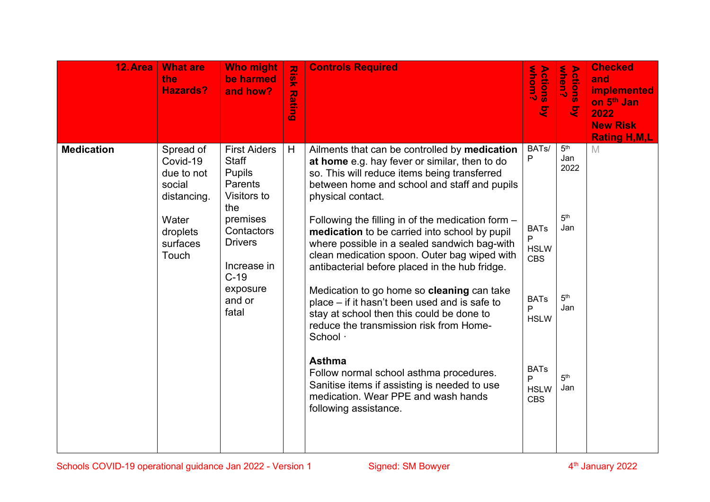| 12. Area          | <b>What are</b><br>the<br><b>Hazards?</b>                    | <b>Who might</b><br>be harmed<br>and how?                                             | $\overline{\mathbf{z}}$<br>꽂<br><b>Rating</b> | <b>Controls Required</b>                                                                                                                                                                                                                             | whom?<br><b>Actions</b><br>g                  | Actions<br>when?<br>g          | <b>Checked</b><br>and<br><b>implemented</b><br>on 5 <sup>th</sup> Jan<br>2022<br><b>New Risk</b><br><b>Rating H,M,L</b> |
|-------------------|--------------------------------------------------------------|---------------------------------------------------------------------------------------|-----------------------------------------------|------------------------------------------------------------------------------------------------------------------------------------------------------------------------------------------------------------------------------------------------------|-----------------------------------------------|--------------------------------|-------------------------------------------------------------------------------------------------------------------------|
| <b>Medication</b> | Spread of<br>Covid-19<br>due to not<br>social<br>distancing. | <b>First Aiders</b><br><b>Staff</b><br><b>Pupils</b><br>Parents<br>Visitors to<br>the | H                                             | Ailments that can be controlled by medication<br>at home e.g. hay fever or similar, then to do<br>so. This will reduce items being transferred<br>between home and school and staff and pupils<br>physical contact.                                  | BAT <sub>s</sub> /<br>P                       | 5 <sup>th</sup><br>Jan<br>2022 | M                                                                                                                       |
|                   | Water<br>droplets<br>surfaces<br>Touch                       | premises<br>Contactors<br><b>Drivers</b><br>Increase in<br>$C-19$                     |                                               | Following the filling in of the medication form -<br>medication to be carried into school by pupil<br>where possible in a sealed sandwich bag-with<br>clean medication spoon. Outer bag wiped with<br>antibacterial before placed in the hub fridge. | <b>BATs</b><br>P<br><b>HSLW</b><br><b>CBS</b> | 5 <sup>th</sup><br>Jan         |                                                                                                                         |
|                   |                                                              | exposure<br>and or<br>fatal                                                           |                                               | Medication to go home so cleaning can take<br>place – if it hasn't been used and is safe to<br>stay at school then this could be done to<br>reduce the transmission risk from Home-<br>School ·                                                      | <b>BATs</b><br>P<br><b>HSLW</b>               | 5 <sup>th</sup><br>Jan         |                                                                                                                         |
|                   |                                                              |                                                                                       |                                               | <b>Asthma</b><br>Follow normal school asthma procedures.<br>Sanitise items if assisting is needed to use<br>medication. Wear PPE and wash hands<br>following assistance.                                                                             | <b>BATs</b><br>P<br><b>HSLW</b><br><b>CBS</b> | 5 <sup>th</sup><br>Jan         |                                                                                                                         |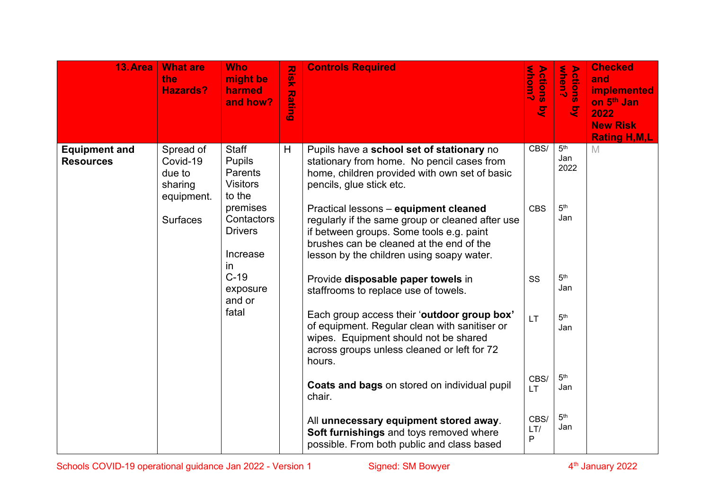| 13. Area                                 | <b>What are</b><br>the<br><b>Hazards?</b>                | <b>Who</b><br>might be<br>harmed<br>and how?                          | Risk<br><b>Ratin</b><br>$\boldsymbol{\omega}$ | <b>Controls Required</b>                                                                                                                                                                                                       | whom?<br>Actions<br>g | Actions<br>when?<br>g          | <b>Checked</b><br>and<br><b>implemented</b><br>on 5 <sup>th</sup> Jan<br>2022<br><b>New Risk</b><br><b>Rating H,M,L</b> |
|------------------------------------------|----------------------------------------------------------|-----------------------------------------------------------------------|-----------------------------------------------|--------------------------------------------------------------------------------------------------------------------------------------------------------------------------------------------------------------------------------|-----------------------|--------------------------------|-------------------------------------------------------------------------------------------------------------------------|
| <b>Equipment and</b><br><b>Resources</b> | Spread of<br>Covid-19<br>due to<br>sharing<br>equipment. | <b>Staff</b><br><b>Pupils</b><br>Parents<br><b>Visitors</b><br>to the | H                                             | Pupils have a school set of stationary no<br>stationary from home. No pencil cases from<br>home, children provided with own set of basic<br>pencils, glue stick etc.                                                           | CBS/                  | 5 <sup>th</sup><br>Jan<br>2022 | M                                                                                                                       |
|                                          | <b>Surfaces</b>                                          | premises<br>Contactors<br><b>Drivers</b><br>Increase<br>in            |                                               | Practical lessons - equipment cleaned<br>regularly if the same group or cleaned after use<br>if between groups. Some tools e.g. paint<br>brushes can be cleaned at the end of the<br>lesson by the children using soapy water. | <b>CBS</b>            | 5 <sup>th</sup><br>Jan         |                                                                                                                         |
|                                          |                                                          | $C-19$<br>exposure<br>and or                                          |                                               | Provide disposable paper towels in<br>staffrooms to replace use of towels.                                                                                                                                                     | SS                    | 5 <sup>th</sup><br>Jan         |                                                                                                                         |
|                                          |                                                          | fatal                                                                 |                                               | Each group access their 'outdoor group box'<br>of equipment. Regular clean with sanitiser or<br>wipes. Equipment should not be shared<br>across groups unless cleaned or left for 72<br>hours.                                 | LT.                   | 5 <sup>th</sup><br>Jan         |                                                                                                                         |
|                                          |                                                          |                                                                       |                                               | Coats and bags on stored on individual pupil<br>chair.                                                                                                                                                                         | CBS/<br>LT.           | 5 <sup>th</sup><br>Jan         |                                                                                                                         |
|                                          |                                                          |                                                                       |                                               | All unnecessary equipment stored away.<br>Soft furnishings and toys removed where<br>possible. From both public and class based                                                                                                | CBS/<br>LT/<br>P      | 5 <sup>th</sup><br>Jan         |                                                                                                                         |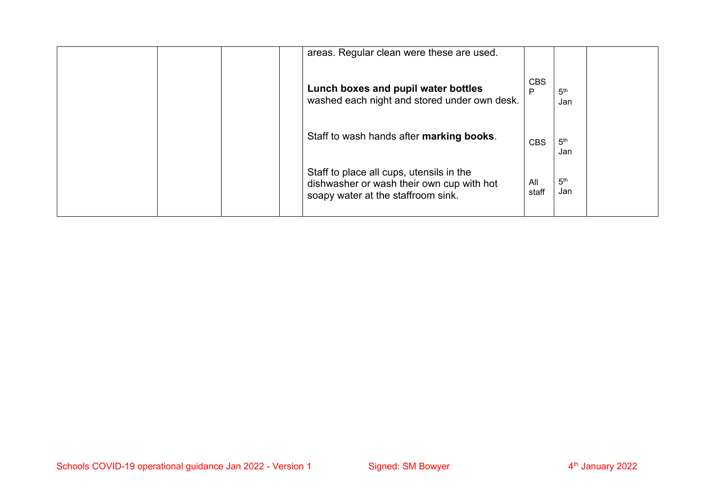|  |  | areas. Regular clean were these are used.                                                                                   |                 |                        |  |
|--|--|-----------------------------------------------------------------------------------------------------------------------------|-----------------|------------------------|--|
|  |  | Lunch boxes and pupil water bottles<br>washed each night and stored under own desk.                                         | <b>CBS</b><br>P | 5 <sup>th</sup><br>Jan |  |
|  |  | Staff to wash hands after marking books.                                                                                    | <b>CBS</b>      | 5 <sup>th</sup><br>Jan |  |
|  |  | Staff to place all cups, utensils in the<br>dishwasher or wash their own cup with hot<br>soapy water at the staffroom sink. | All<br>staff    | 5 <sup>th</sup><br>Jan |  |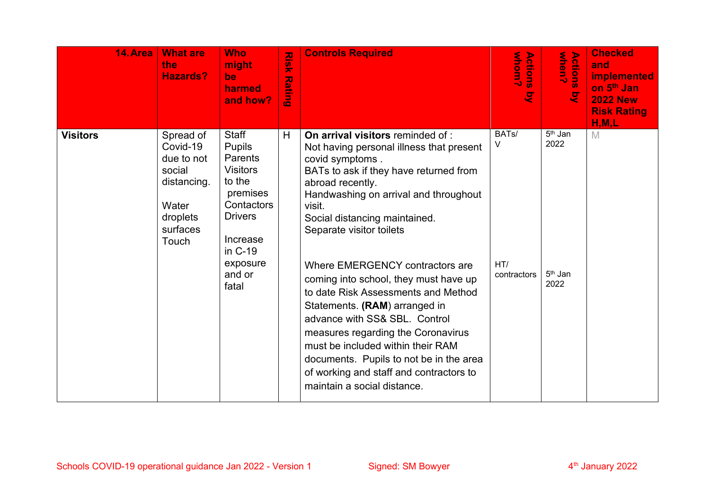| <b>14. Area</b> | <b>What are</b><br>the<br><b>Hazards?</b>                                                              | <b>Who</b><br>might<br>be<br><b>harmed</b><br>and how?                                                                                   | <b>NSIX</b><br><b>Rati</b><br>a | <b>Controls Required</b>                                                                                                                                                                                                                                                                                                                                                          | <b>Mhonr?</b><br><b>Actions</b><br>g | Actions<br>when?<br>9       | <b>Checked</b><br>and<br><b>implemented</b><br>on 5 <sup>th</sup> Jan<br><b>2022 New</b><br><b>Risk Rating</b><br>H, M, L |
|-----------------|--------------------------------------------------------------------------------------------------------|------------------------------------------------------------------------------------------------------------------------------------------|---------------------------------|-----------------------------------------------------------------------------------------------------------------------------------------------------------------------------------------------------------------------------------------------------------------------------------------------------------------------------------------------------------------------------------|--------------------------------------|-----------------------------|---------------------------------------------------------------------------------------------------------------------------|
| <b>Visitors</b> | Spread of<br>Covid-19<br>due to not<br>social<br>distancing.<br>Water<br>droplets<br>surfaces<br>Touch | <b>Staff</b><br><b>Pupils</b><br>Parents<br><b>Visitors</b><br>to the<br>premises<br>Contactors<br><b>Drivers</b><br>Increase<br>in C-19 | H                               | On arrival visitors reminded of:<br>Not having personal illness that present<br>covid symptoms.<br>BATs to ask if they have returned from<br>abroad recently.<br>Handwashing on arrival and throughout<br>visit.<br>Social distancing maintained.<br>Separate visitor toilets                                                                                                     | BAT <sub>s</sub> /<br>V              | 5 <sup>th</sup> Jan<br>2022 | M                                                                                                                         |
|                 |                                                                                                        | exposure<br>and or<br>fatal                                                                                                              |                                 | Where EMERGENCY contractors are<br>coming into school, they must have up<br>to date Risk Assessments and Method<br>Statements. (RAM) arranged in<br>advance with SS& SBL. Control<br>measures regarding the Coronavirus<br>must be included within their RAM<br>documents. Pupils to not be in the area<br>of working and staff and contractors to<br>maintain a social distance. | HT/<br>contractors                   | $5th$ Jan<br>2022           |                                                                                                                           |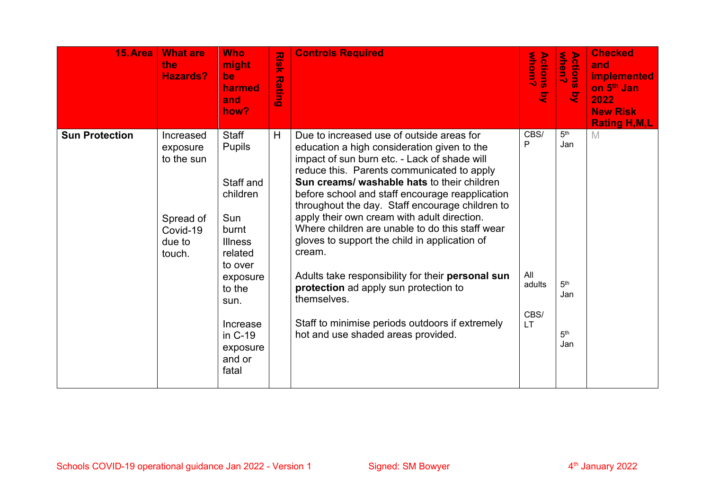| 15. Area              | <b>What are</b><br>the<br><b>Hazards?</b>                                        | <b>Who</b><br>might<br><b>be</b><br>harmed<br>and<br>how?                                                                                                                                   | <b>Naix</b><br><b>Rati</b><br>$\bar{a}$ | <b>Controls Required</b>                                                                                                                                                                                                                                                                                                                                                                                                                                                                                                                                                                                                                                                                                              | <b>Mhom</b><br><b>Actions</b><br>Ċ.<br>g        | <b>Actions</b><br>when?<br>$\triangleright$<br>$\overline{\mathbf{5}}$<br>四 | <b>Checked</b><br>and<br><b>implemented</b><br>on 5 <sup>th</sup> Jan<br>2022<br><b>New Risk</b><br><b>Rating H,M,L</b> |
|-----------------------|----------------------------------------------------------------------------------|---------------------------------------------------------------------------------------------------------------------------------------------------------------------------------------------|-----------------------------------------|-----------------------------------------------------------------------------------------------------------------------------------------------------------------------------------------------------------------------------------------------------------------------------------------------------------------------------------------------------------------------------------------------------------------------------------------------------------------------------------------------------------------------------------------------------------------------------------------------------------------------------------------------------------------------------------------------------------------------|-------------------------------------------------|-----------------------------------------------------------------------------|-------------------------------------------------------------------------------------------------------------------------|
| <b>Sun Protection</b> | Increased<br>exposure<br>to the sun<br>Spread of<br>Covid-19<br>due to<br>touch. | Staff<br><b>Pupils</b><br>Staff and<br>children<br>Sun<br>burnt<br><b>Illness</b><br>related<br>to over<br>exposure<br>to the<br>sun.<br>Increase<br>in C-19<br>exposure<br>and or<br>fatal | H                                       | Due to increased use of outside areas for<br>education a high consideration given to the<br>impact of sun burn etc. - Lack of shade will<br>reduce this. Parents communicated to apply<br><b>Sun creams/ washable hats to their children</b><br>before school and staff encourage reapplication<br>throughout the day. Staff encourage children to<br>apply their own cream with adult direction.<br>Where children are unable to do this staff wear<br>gloves to support the child in application of<br>cream.<br>Adults take responsibility for their personal sun<br>protection ad apply sun protection to<br>themselves.<br>Staff to minimise periods outdoors if extremely<br>hot and use shaded areas provided. | CBS/<br>P<br>All<br>adults<br>CBS/<br><b>LT</b> | 5 <sup>th</sup><br>Jan<br>5 <sup>th</sup><br>Jan<br>5 <sup>th</sup><br>Jan  | M                                                                                                                       |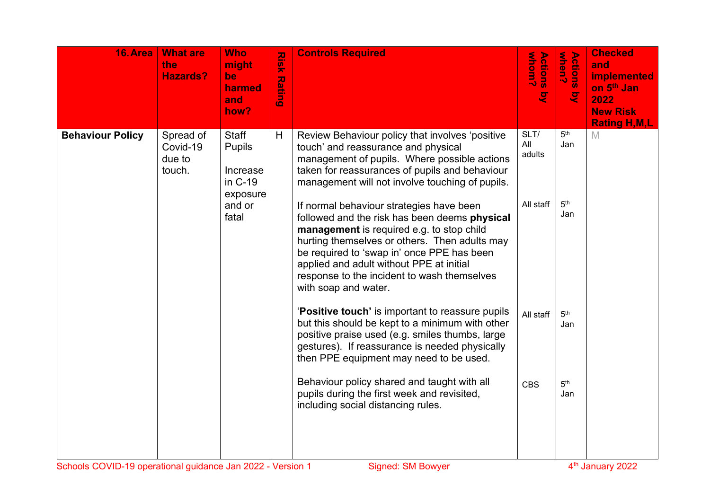| 16. Area                                                                                                                                 | <b>What are</b><br>the<br><b>Hazards?</b> | <b>Who</b><br>might<br>be<br>harmed<br>and<br>how?                                                                                                                                                                                          | <b>Risk</b><br><b>Rating</b> | <b>Controls Required</b>                                                                                                                                                                                                                                                                                                                                 | whom?<br>Actions<br>$\overline{g}$ | Actions<br>when?<br>g  | <b>Checked</b><br>and<br><b>implemented</b><br>on 5 <sup>th</sup> Jan<br>2022<br><b>New Risk</b><br><b>Rating H, M, L</b> |
|------------------------------------------------------------------------------------------------------------------------------------------|-------------------------------------------|---------------------------------------------------------------------------------------------------------------------------------------------------------------------------------------------------------------------------------------------|------------------------------|----------------------------------------------------------------------------------------------------------------------------------------------------------------------------------------------------------------------------------------------------------------------------------------------------------------------------------------------------------|------------------------------------|------------------------|---------------------------------------------------------------------------------------------------------------------------|
| <b>Staff</b><br><b>Behaviour Policy</b><br>Spread of<br>Covid-19<br><b>Pupils</b><br>due to<br>touch.<br>Increase<br>in C-19<br>exposure | H                                         | Review Behaviour policy that involves 'positive<br>touch' and reassurance and physical<br>management of pupils. Where possible actions<br>taken for reassurances of pupils and behaviour<br>management will not involve touching of pupils. | SLT/<br>All<br>adults        | 5 <sup>th</sup><br>Jan                                                                                                                                                                                                                                                                                                                                   | M                                  |                        |                                                                                                                           |
|                                                                                                                                          |                                           | and or<br>fatal                                                                                                                                                                                                                             |                              | If normal behaviour strategies have been<br>followed and the risk has been deems physical<br>management is required e.g. to stop child<br>hurting themselves or others. Then adults may<br>be required to 'swap in' once PPE has been<br>applied and adult without PPE at initial<br>response to the incident to wash themselves<br>with soap and water. | All staff                          | 5 <sup>th</sup><br>Jan |                                                                                                                           |
|                                                                                                                                          |                                           |                                                                                                                                                                                                                                             |                              | 'Positive touch' is important to reassure pupils<br>but this should be kept to a minimum with other<br>positive praise used (e.g. smiles thumbs, large<br>gestures). If reassurance is needed physically<br>then PPE equipment may need to be used.                                                                                                      | All staff                          | 5 <sup>th</sup><br>Jan |                                                                                                                           |
|                                                                                                                                          |                                           |                                                                                                                                                                                                                                             |                              | Behaviour policy shared and taught with all<br>pupils during the first week and revisited,<br>including social distancing rules.                                                                                                                                                                                                                         | <b>CBS</b>                         | 5 <sup>th</sup><br>Jan |                                                                                                                           |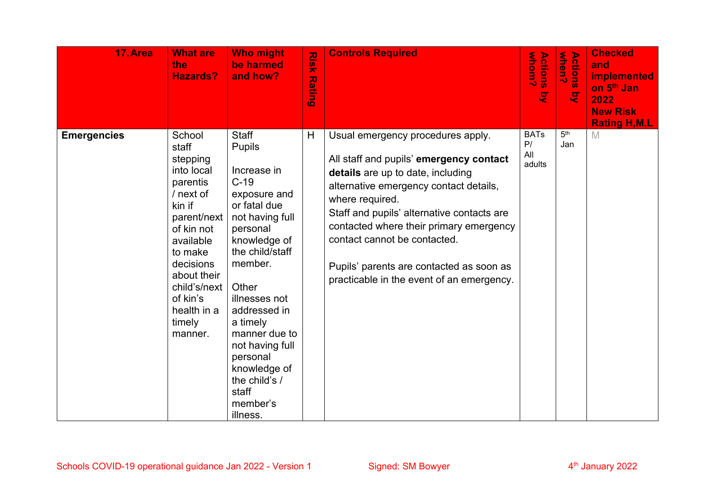| 17. Area           | <b>What are</b><br>the<br><b>Hazards?</b>                                                                                                                                                                                     | <b>Who might</b><br>be harmed<br>and how?                                                                                                                                                                                                                                                                                                   | <b>Nak</b><br><b>Rating</b> | <b>Controls Required</b>                                                                                                                                                                                                                                                                                                                                                                         | Actions<br>whom?<br>ष्ट            | Actions<br>when?<br>ष्ट | <b>Checked</b><br>and<br><b>implemented</b><br>on 5 <sup>th</sup> Jan<br>2022<br><b>New Risk</b><br><b>Rating H, M, L</b> |
|--------------------|-------------------------------------------------------------------------------------------------------------------------------------------------------------------------------------------------------------------------------|---------------------------------------------------------------------------------------------------------------------------------------------------------------------------------------------------------------------------------------------------------------------------------------------------------------------------------------------|-----------------------------|--------------------------------------------------------------------------------------------------------------------------------------------------------------------------------------------------------------------------------------------------------------------------------------------------------------------------------------------------------------------------------------------------|------------------------------------|-------------------------|---------------------------------------------------------------------------------------------------------------------------|
| <b>Emergencies</b> | School<br>staff<br>stepping<br>into local<br>parentis<br>/ next of<br>kin if<br>parent/next<br>of kin not<br>available<br>to make<br>decisions<br>about their<br>child's/next<br>of kin's<br>health in a<br>timely<br>manner. | <b>Staff</b><br><b>Pupils</b><br>Increase in<br>$C-19$<br>exposure and<br>or fatal due<br>not having full<br>personal<br>knowledge of<br>the child/staff<br>member.<br>Other<br>illnesses not<br>addressed in<br>a timely<br>manner due to<br>not having full<br>personal<br>knowledge of<br>the child's /<br>staff<br>member's<br>illness. | H                           | Usual emergency procedures apply.<br>All staff and pupils' emergency contact<br>details are up to date, including<br>alternative emergency contact details,<br>where required.<br>Staff and pupils' alternative contacts are<br>contacted where their primary emergency<br>contact cannot be contacted.<br>Pupils' parents are contacted as soon as<br>practicable in the event of an emergency. | <b>BATs</b><br>P/<br>All<br>adults | 5 <sup>th</sup><br>Jan  | M                                                                                                                         |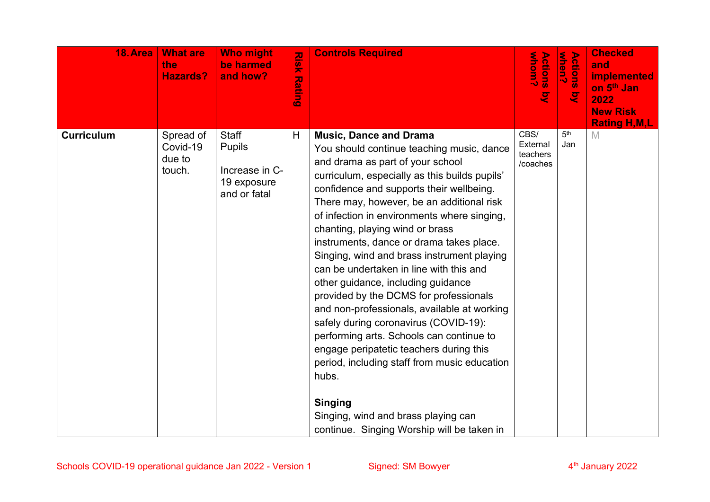| 18. Area          | <b>What are</b><br>the<br><b>Hazards?</b> | <b>Who might</b><br>be harmed<br>and how?                                      | Risk<br><b>Rating</b> | <b>Controls Required</b>                                                                                                                                                                                                                                                                                                                                                                                                                                                                                                                                                                                                                                                                                                                                                                                                                                                                                       | whom?<br><b>Actions</b><br>g             | <b>Actions</b><br>when?<br>g | <b>Checked</b><br>and<br><b>implemented</b><br>on 5 <sup>th</sup> Jan<br>2022<br><b>New Risk</b><br><b>Rating H, M, L</b> |
|-------------------|-------------------------------------------|--------------------------------------------------------------------------------|-----------------------|----------------------------------------------------------------------------------------------------------------------------------------------------------------------------------------------------------------------------------------------------------------------------------------------------------------------------------------------------------------------------------------------------------------------------------------------------------------------------------------------------------------------------------------------------------------------------------------------------------------------------------------------------------------------------------------------------------------------------------------------------------------------------------------------------------------------------------------------------------------------------------------------------------------|------------------------------------------|------------------------------|---------------------------------------------------------------------------------------------------------------------------|
| <b>Curriculum</b> | Spread of<br>Covid-19<br>due to<br>touch. | <b>Staff</b><br><b>Pupils</b><br>Increase in C-<br>19 exposure<br>and or fatal | H                     | <b>Music, Dance and Drama</b><br>You should continue teaching music, dance<br>and drama as part of your school<br>curriculum, especially as this builds pupils'<br>confidence and supports their wellbeing.<br>There may, however, be an additional risk<br>of infection in environments where singing,<br>chanting, playing wind or brass<br>instruments, dance or drama takes place.<br>Singing, wind and brass instrument playing<br>can be undertaken in line with this and<br>other guidance, including guidance<br>provided by the DCMS for professionals<br>and non-professionals, available at working<br>safely during coronavirus (COVID-19):<br>performing arts. Schools can continue to<br>engage peripatetic teachers during this<br>period, including staff from music education<br>hubs.<br><b>Singing</b><br>Singing, wind and brass playing can<br>continue. Singing Worship will be taken in | CBS/<br>External<br>teachers<br>/coaches | 5 <sup>th</sup><br>Jan       | M                                                                                                                         |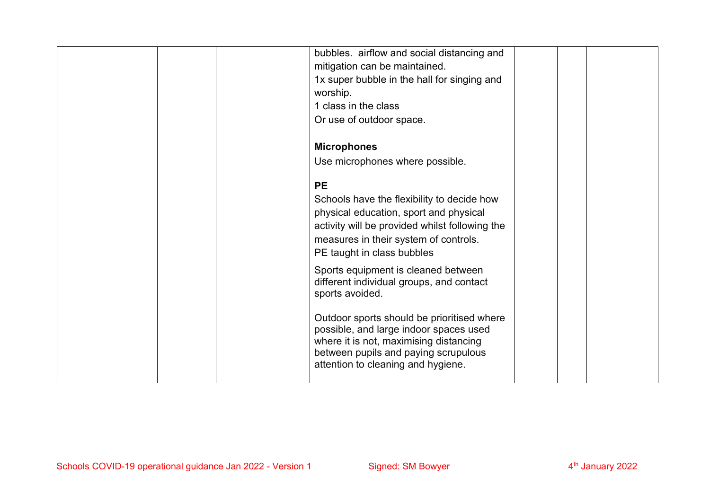| bubbles. airflow and social distancing and<br>mitigation can be maintained.<br>1x super bubble in the hall for singing and<br>worship.<br>1 class in the class<br>Or use of outdoor space.                                                                                                                                                                                                                                                                                                                                                       |  |
|--------------------------------------------------------------------------------------------------------------------------------------------------------------------------------------------------------------------------------------------------------------------------------------------------------------------------------------------------------------------------------------------------------------------------------------------------------------------------------------------------------------------------------------------------|--|
| <b>Microphones</b>                                                                                                                                                                                                                                                                                                                                                                                                                                                                                                                               |  |
| Use microphones where possible.                                                                                                                                                                                                                                                                                                                                                                                                                                                                                                                  |  |
| <b>PE</b><br>Schools have the flexibility to decide how<br>physical education, sport and physical<br>activity will be provided whilst following the<br>measures in their system of controls.<br>PE taught in class bubbles<br>Sports equipment is cleaned between<br>different individual groups, and contact<br>sports avoided.<br>Outdoor sports should be prioritised where<br>possible, and large indoor spaces used<br>where it is not, maximising distancing<br>between pupils and paying scrupulous<br>attention to cleaning and hygiene. |  |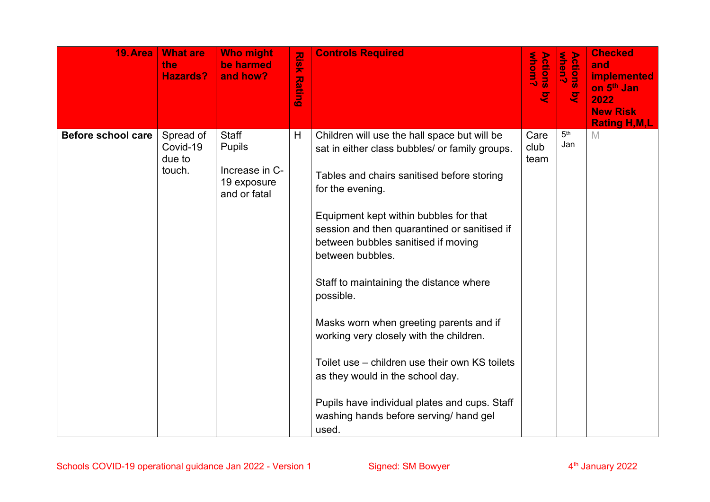| <b>19. Area</b>    | <b>What are</b><br>the<br><b>Hazards?</b> | <b>Who might</b><br>be harmed<br>and how?                                      | <b>NSK</b><br><b>Rating</b> | <b>Controls Required</b>                                                                                                                                                                                                                                                                                                                                                                                                                                                                                                                                                                                                                                      | whom?<br><b>Actions</b><br>g | Actions<br>when?<br>g  | <b>Checked</b><br>and<br><b>implemented</b><br>on 5 <sup>th</sup> Jan<br>2022<br><b>New Risk</b><br><b>Rating H, M, L</b> |
|--------------------|-------------------------------------------|--------------------------------------------------------------------------------|-----------------------------|---------------------------------------------------------------------------------------------------------------------------------------------------------------------------------------------------------------------------------------------------------------------------------------------------------------------------------------------------------------------------------------------------------------------------------------------------------------------------------------------------------------------------------------------------------------------------------------------------------------------------------------------------------------|------------------------------|------------------------|---------------------------------------------------------------------------------------------------------------------------|
| Before school care | Spread of<br>Covid-19<br>due to<br>touch. | <b>Staff</b><br><b>Pupils</b><br>Increase in C-<br>19 exposure<br>and or fatal | H                           | Children will use the hall space but will be<br>sat in either class bubbles/ or family groups.<br>Tables and chairs sanitised before storing<br>for the evening.<br>Equipment kept within bubbles for that<br>session and then quarantined or sanitised if<br>between bubbles sanitised if moving<br>between bubbles.<br>Staff to maintaining the distance where<br>possible.<br>Masks worn when greeting parents and if<br>working very closely with the children.<br>Toilet use – children use their own KS toilets<br>as they would in the school day.<br>Pupils have individual plates and cups. Staff<br>washing hands before serving/ hand gel<br>used. | Care<br>club<br>team         | 5 <sup>th</sup><br>Jan | M                                                                                                                         |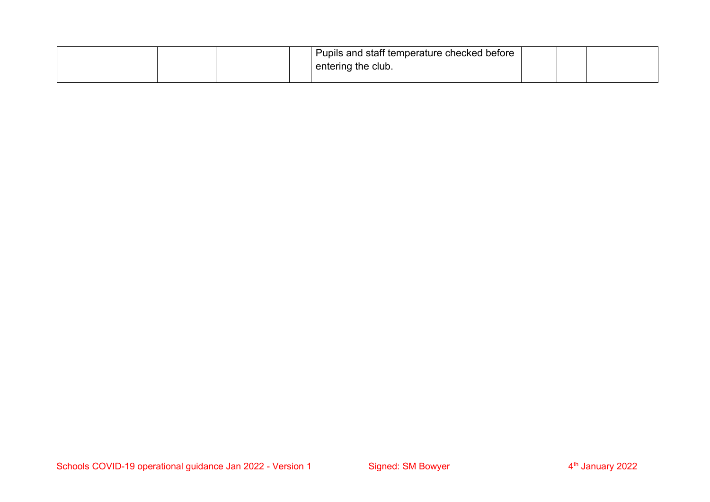|  |  | Pupils and staff temperature checked before |  |  |
|--|--|---------------------------------------------|--|--|
|  |  | entering the club.                          |  |  |
|  |  |                                             |  |  |